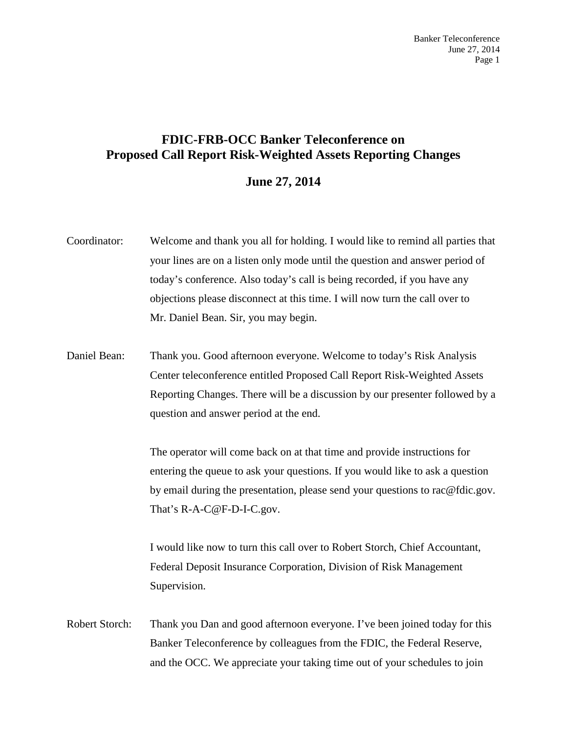## **FDIC-FRB-OCC Banker Teleconference on Proposed Call Report Risk-Weighted Assets Reporting Changes**

## **June 27, 2014**

| Coordinator:   | Welcome and thank you all for holding. I would like to remind all parties that<br>your lines are on a listen only mode until the question and answer period of<br>today's conference. Also today's call is being recorded, if you have any<br>objections please disconnect at this time. I will now turn the call over to<br>Mr. Daniel Bean. Sir, you may begin. |
|----------------|-------------------------------------------------------------------------------------------------------------------------------------------------------------------------------------------------------------------------------------------------------------------------------------------------------------------------------------------------------------------|
| Daniel Bean:   | Thank you. Good afternoon everyone. Welcome to today's Risk Analysis<br>Center teleconference entitled Proposed Call Report Risk-Weighted Assets<br>Reporting Changes. There will be a discussion by our presenter followed by a<br>question and answer period at the end.                                                                                        |
|                | The operator will come back on at that time and provide instructions for<br>entering the queue to ask your questions. If you would like to ask a question<br>by email during the presentation, please send your questions to rac@fdic.gov.<br>That's R-A-C@F-D-I-C.gov.                                                                                           |
|                | I would like now to turn this call over to Robert Storch, Chief Accountant,<br>Federal Deposit Insurance Corporation, Division of Risk Management<br>Supervision.                                                                                                                                                                                                 |
| Robert Storch: | Thank you Dan and good afternoon everyone. I've been joined today for this<br>Banker Teleconference by colleagues from the FDIC, the Federal Reserve,<br>and the OCC. We appreciate your taking time out of your schedules to join                                                                                                                                |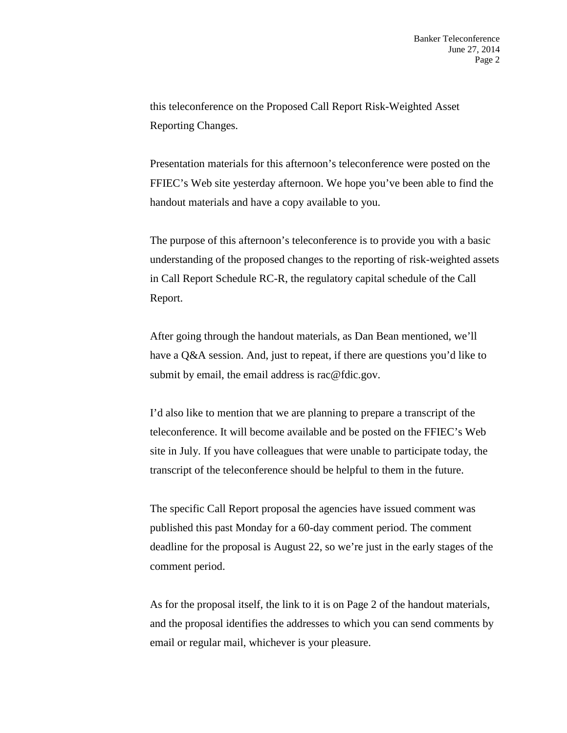this teleconference on the Proposed Call Report Risk-Weighted Asset Reporting Changes.

Presentation materials for this afternoon's teleconference were posted on the FFIEC's Web site yesterday afternoon. We hope you've been able to find the handout materials and have a copy available to you.

The purpose of this afternoon's teleconference is to provide you with a basic understanding of the proposed changes to the reporting of risk-weighted assets in Call Report Schedule RC-R, the regulatory capital schedule of the Call Report.

After going through the handout materials, as Dan Bean mentioned, we'll have a Q&A session. And, just to repeat, if there are questions you'd like to submit by email, the email address is rac@fdic.gov.

I'd also like to mention that we are planning to prepare a transcript of the teleconference. It will become available and be posted on the FFIEC's Web site in July. If you have colleagues that were unable to participate today, the transcript of the teleconference should be helpful to them in the future.

The specific Call Report proposal the agencies have issued comment was published this past Monday for a 60-day comment period. The comment deadline for the proposal is August 22, so we're just in the early stages of the comment period.

As for the proposal itself, the link to it is on Page 2 of the handout materials, and the proposal identifies the addresses to which you can send comments by email or regular mail, whichever is your pleasure.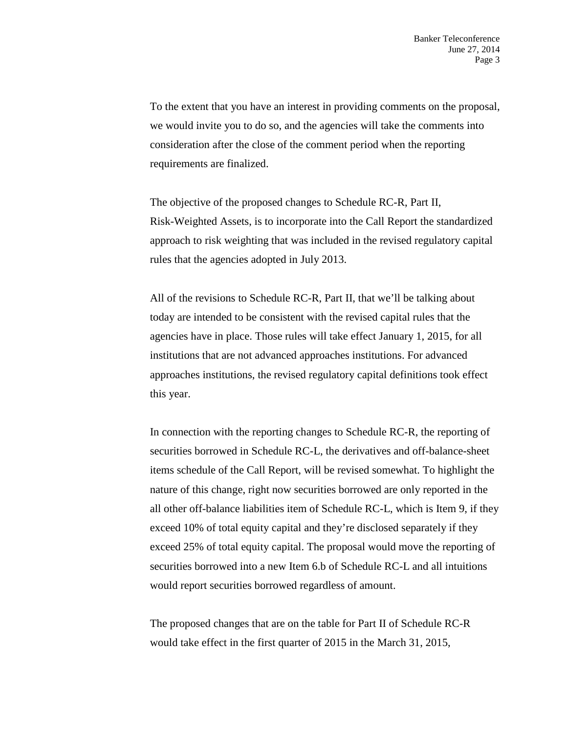To the extent that you have an interest in providing comments on the proposal, we would invite you to do so, and the agencies will take the comments into consideration after the close of the comment period when the reporting requirements are finalized.

The objective of the proposed changes to Schedule RC-R, Part II, Risk-Weighted Assets, is to incorporate into the Call Report the standardized approach to risk weighting that was included in the revised regulatory capital rules that the agencies adopted in July 2013.

All of the revisions to Schedule RC-R, Part II, that we'll be talking about today are intended to be consistent with the revised capital rules that the agencies have in place. Those rules will take effect January 1, 2015, for all institutions that are not advanced approaches institutions. For advanced approaches institutions, the revised regulatory capital definitions took effect this year.

In connection with the reporting changes to Schedule RC-R, the reporting of securities borrowed in Schedule RC-L, the derivatives and off-balance-sheet items schedule of the Call Report, will be revised somewhat. To highlight the nature of this change, right now securities borrowed are only reported in the all other off-balance liabilities item of Schedule RC-L, which is Item 9, if they exceed 10% of total equity capital and they're disclosed separately if they exceed 25% of total equity capital. The proposal would move the reporting of securities borrowed into a new Item 6.b of Schedule RC-L and all intuitions would report securities borrowed regardless of amount.

The proposed changes that are on the table for Part II of Schedule RC-R would take effect in the first quarter of 2015 in the March 31, 2015,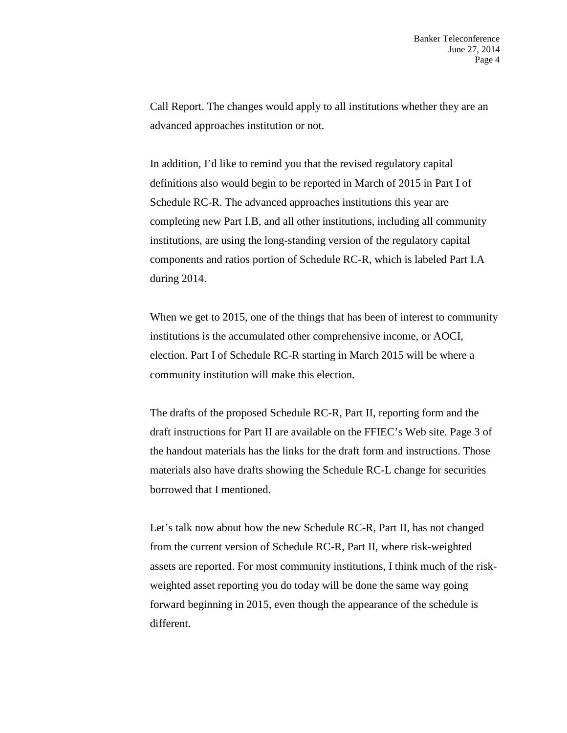Call Report. The changes would apply to all institutions whether they are an advanced approaches institution or not.

In addition, I'd like to remind you that the revised regulatory capital definitions also would begin to be reported in March of 2015 in Part I of Schedule RC-R. The advanced approaches institutions this year are completing new Part I.B, and all other institutions, including all community institutions, are using the long-standing version of the regulatory capital components and ratios portion of Schedule RC-R, which is labeled Part I.A during 2014.

When we get to 2015, one of the things that has been of interest to community institutions is the accumulated other comprehensive income, or AOCI, election. Part I of Schedule RC-R starting in March 2015 will be where a community institution will make this election.

The drafts of the proposed Schedule RC-R, Part II, reporting form and the draft instructions for Part II are available on the FFIEC's Web site. Page 3 of the handout materials has the links for the draft form and instructions. Those materials also have drafts showing the Schedule RC-L change for securities borrowed that I mentioned.

Let's talk now about how the new Schedule RC-R, Part II, has not changed from the current version of Schedule RC-R, Part II, where risk-weighted assets are reported. For most community institutions, I think much of the riskweighted asset reporting you do today will be done the same way going forward beginning in 2015, even though the appearance of the schedule is different.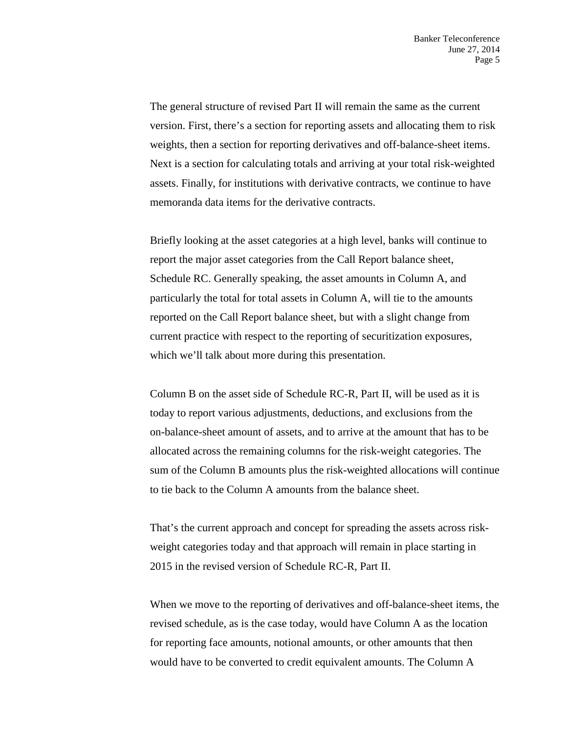The general structure of revised Part II will remain the same as the current version. First, there's a section for reporting assets and allocating them to risk weights, then a section for reporting derivatives and off-balance-sheet items. Next is a section for calculating totals and arriving at your total risk-weighted assets. Finally, for institutions with derivative contracts, we continue to have memoranda data items for the derivative contracts.

Briefly looking at the asset categories at a high level, banks will continue to report the major asset categories from the Call Report balance sheet, Schedule RC. Generally speaking, the asset amounts in Column A, and particularly the total for total assets in Column A, will tie to the amounts reported on the Call Report balance sheet, but with a slight change from current practice with respect to the reporting of securitization exposures, which we'll talk about more during this presentation.

Column B on the asset side of Schedule RC-R, Part II, will be used as it is today to report various adjustments, deductions, and exclusions from the on-balance-sheet amount of assets, and to arrive at the amount that has to be allocated across the remaining columns for the risk-weight categories. The sum of the Column B amounts plus the risk-weighted allocations will continue to tie back to the Column A amounts from the balance sheet.

That's the current approach and concept for spreading the assets across riskweight categories today and that approach will remain in place starting in 2015 in the revised version of Schedule RC-R, Part II.

When we move to the reporting of derivatives and off-balance-sheet items, the revised schedule, as is the case today, would have Column A as the location for reporting face amounts, notional amounts, or other amounts that then would have to be converted to credit equivalent amounts. The Column A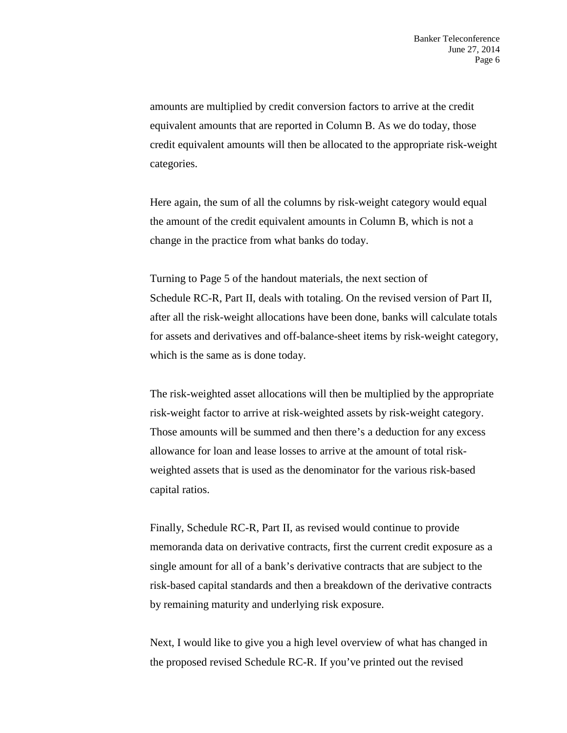amounts are multiplied by credit conversion factors to arrive at the credit equivalent amounts that are reported in Column B. As we do today, those credit equivalent amounts will then be allocated to the appropriate risk-weight categories.

Here again, the sum of all the columns by risk-weight category would equal the amount of the credit equivalent amounts in Column B, which is not a change in the practice from what banks do today.

Turning to Page 5 of the handout materials, the next section of Schedule RC-R, Part II, deals with totaling. On the revised version of Part II, after all the risk-weight allocations have been done, banks will calculate totals for assets and derivatives and off-balance-sheet items by risk-weight category, which is the same as is done today.

The risk-weighted asset allocations will then be multiplied by the appropriate risk-weight factor to arrive at risk-weighted assets by risk-weight category. Those amounts will be summed and then there's a deduction for any excess allowance for loan and lease losses to arrive at the amount of total riskweighted assets that is used as the denominator for the various risk-based capital ratios.

Finally, Schedule RC-R, Part II, as revised would continue to provide memoranda data on derivative contracts, first the current credit exposure as a single amount for all of a bank's derivative contracts that are subject to the risk-based capital standards and then a breakdown of the derivative contracts by remaining maturity and underlying risk exposure.

Next, I would like to give you a high level overview of what has changed in the proposed revised Schedule RC-R. If you've printed out the revised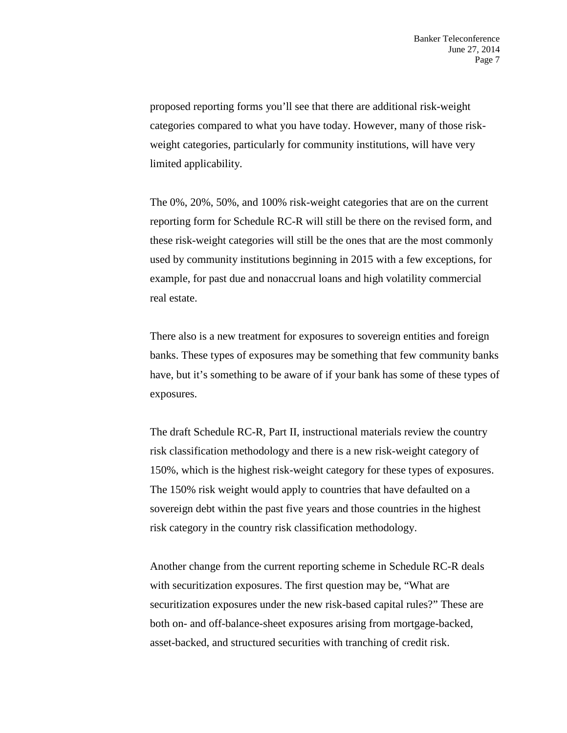proposed reporting forms you'll see that there are additional risk-weight categories compared to what you have today. However, many of those riskweight categories, particularly for community institutions, will have very limited applicability.

The 0%, 20%, 50%, and 100% risk-weight categories that are on the current reporting form for Schedule RC-R will still be there on the revised form, and these risk-weight categories will still be the ones that are the most commonly used by community institutions beginning in 2015 with a few exceptions, for example, for past due and nonaccrual loans and high volatility commercial real estate.

There also is a new treatment for exposures to sovereign entities and foreign banks. These types of exposures may be something that few community banks have, but it's something to be aware of if your bank has some of these types of exposures.

The draft Schedule RC-R, Part II, instructional materials review the country risk classification methodology and there is a new risk-weight category of 150%, which is the highest risk-weight category for these types of exposures. The 150% risk weight would apply to countries that have defaulted on a sovereign debt within the past five years and those countries in the highest risk category in the country risk classification methodology.

Another change from the current reporting scheme in Schedule RC-R deals with securitization exposures. The first question may be, "What are securitization exposures under the new risk-based capital rules?" These are both on- and off-balance-sheet exposures arising from mortgage-backed, asset-backed, and structured securities with tranching of credit risk.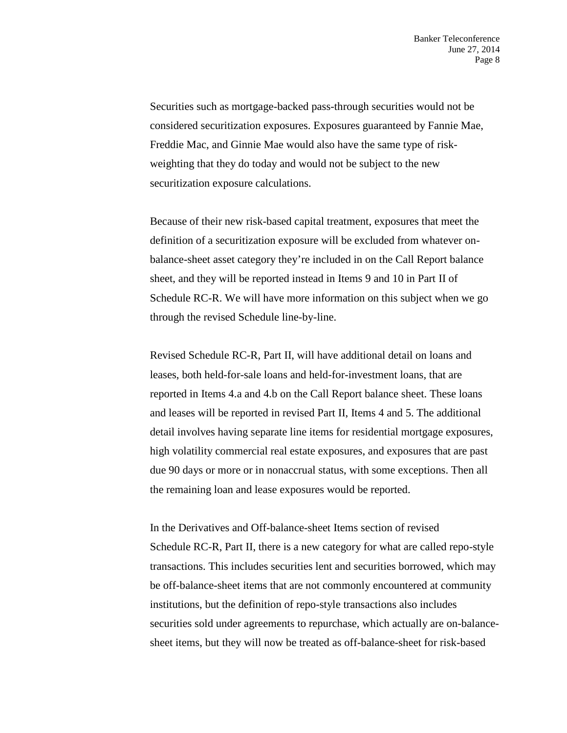Securities such as mortgage-backed pass-through securities would not be considered securitization exposures. Exposures guaranteed by Fannie Mae, Freddie Mac, and Ginnie Mae would also have the same type of riskweighting that they do today and would not be subject to the new securitization exposure calculations.

Because of their new risk-based capital treatment, exposures that meet the definition of a securitization exposure will be excluded from whatever onbalance-sheet asset category they're included in on the Call Report balance sheet, and they will be reported instead in Items 9 and 10 in Part II of Schedule RC-R. We will have more information on this subject when we go through the revised Schedule line-by-line.

Revised Schedule RC-R, Part II, will have additional detail on loans and leases, both held-for-sale loans and held-for-investment loans, that are reported in Items 4.a and 4.b on the Call Report balance sheet. These loans and leases will be reported in revised Part II, Items 4 and 5. The additional detail involves having separate line items for residential mortgage exposures, high volatility commercial real estate exposures, and exposures that are past due 90 days or more or in nonaccrual status, with some exceptions. Then all the remaining loan and lease exposures would be reported.

In the Derivatives and Off-balance-sheet Items section of revised Schedule RC-R, Part II, there is a new category for what are called repo-style transactions. This includes securities lent and securities borrowed, which may be off-balance-sheet items that are not commonly encountered at community institutions, but the definition of repo-style transactions also includes securities sold under agreements to repurchase, which actually are on-balancesheet items, but they will now be treated as off-balance-sheet for risk-based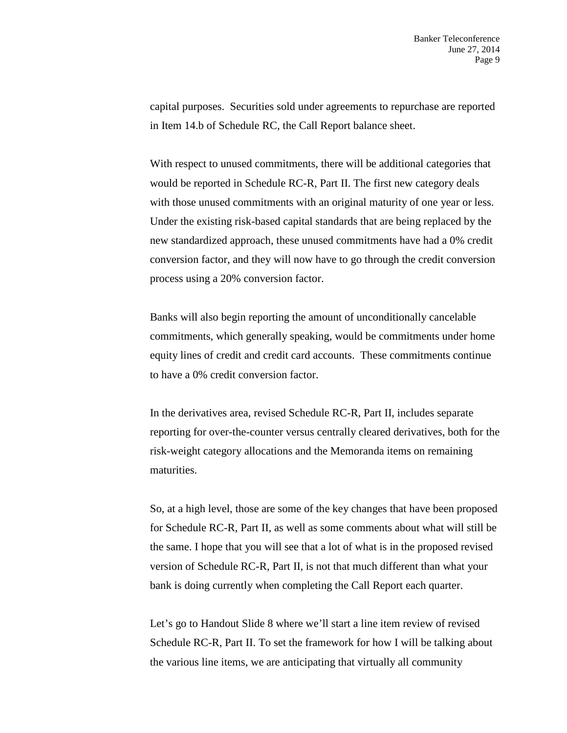capital purposes. Securities sold under agreements to repurchase are reported in Item 14.b of Schedule RC, the Call Report balance sheet.

With respect to unused commitments, there will be additional categories that would be reported in Schedule RC-R, Part II. The first new category deals with those unused commitments with an original maturity of one year or less. Under the existing risk-based capital standards that are being replaced by the new standardized approach, these unused commitments have had a 0% credit conversion factor, and they will now have to go through the credit conversion process using a 20% conversion factor.

Banks will also begin reporting the amount of unconditionally cancelable commitments, which generally speaking, would be commitments under home equity lines of credit and credit card accounts. These commitments continue to have a 0% credit conversion factor.

In the derivatives area, revised Schedule RC-R, Part II, includes separate reporting for over-the-counter versus centrally cleared derivatives, both for the risk-weight category allocations and the Memoranda items on remaining maturities.

So, at a high level, those are some of the key changes that have been proposed for Schedule RC-R, Part II, as well as some comments about what will still be the same. I hope that you will see that a lot of what is in the proposed revised version of Schedule RC-R, Part II, is not that much different than what your bank is doing currently when completing the Call Report each quarter.

Let's go to Handout Slide 8 where we'll start a line item review of revised Schedule RC-R, Part II. To set the framework for how I will be talking about the various line items, we are anticipating that virtually all community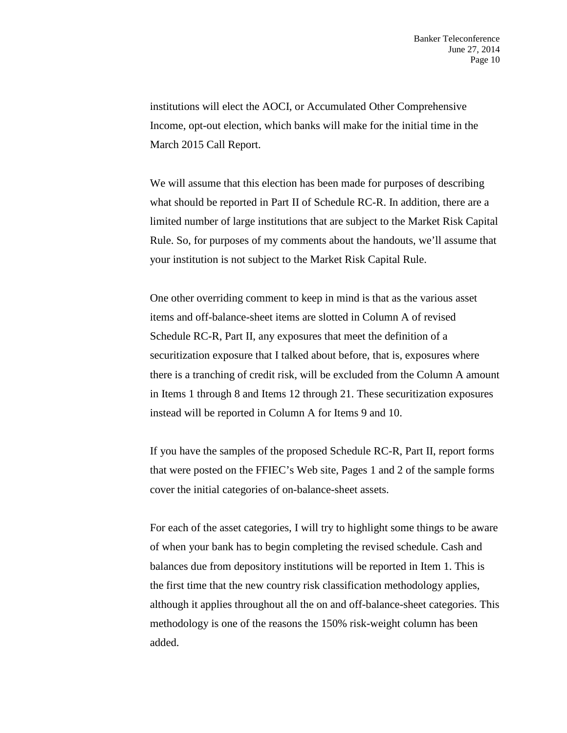institutions will elect the AOCI, or Accumulated Other Comprehensive Income, opt-out election, which banks will make for the initial time in the March 2015 Call Report.

We will assume that this election has been made for purposes of describing what should be reported in Part II of Schedule RC-R. In addition, there are a limited number of large institutions that are subject to the Market Risk Capital Rule. So, for purposes of my comments about the handouts, we'll assume that your institution is not subject to the Market Risk Capital Rule.

One other overriding comment to keep in mind is that as the various asset items and off-balance-sheet items are slotted in Column A of revised Schedule RC-R, Part II, any exposures that meet the definition of a securitization exposure that I talked about before, that is, exposures where there is a tranching of credit risk, will be excluded from the Column A amount in Items 1 through 8 and Items 12 through 21. These securitization exposures instead will be reported in Column A for Items 9 and 10.

If you have the samples of the proposed Schedule RC-R, Part II, report forms that were posted on the FFIEC's Web site, Pages 1 and 2 of the sample forms cover the initial categories of on-balance-sheet assets.

For each of the asset categories, I will try to highlight some things to be aware of when your bank has to begin completing the revised schedule. Cash and balances due from depository institutions will be reported in Item 1. This is the first time that the new country risk classification methodology applies, although it applies throughout all the on and off-balance-sheet categories. This methodology is one of the reasons the 150% risk-weight column has been added.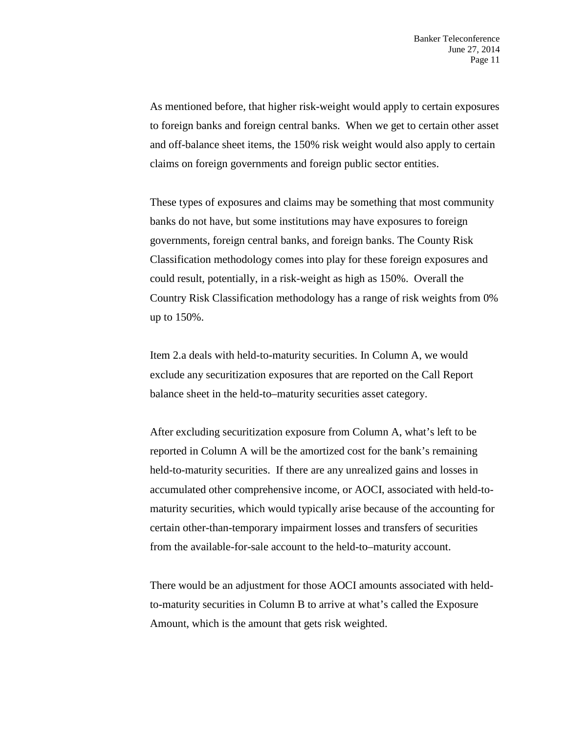As mentioned before, that higher risk-weight would apply to certain exposures to foreign banks and foreign central banks. When we get to certain other asset and off-balance sheet items, the 150% risk weight would also apply to certain claims on foreign governments and foreign public sector entities.

These types of exposures and claims may be something that most community banks do not have, but some institutions may have exposures to foreign governments, foreign central banks, and foreign banks. The County Risk Classification methodology comes into play for these foreign exposures and could result, potentially, in a risk-weight as high as 150%. Overall the Country Risk Classification methodology has a range of risk weights from 0% up to 150%.

Item 2.a deals with held-to-maturity securities. In Column A, we would exclude any securitization exposures that are reported on the Call Report balance sheet in the held-to–maturity securities asset category.

After excluding securitization exposure from Column A, what's left to be reported in Column A will be the amortized cost for the bank's remaining held-to-maturity securities. If there are any unrealized gains and losses in accumulated other comprehensive income, or AOCI, associated with held-tomaturity securities, which would typically arise because of the accounting for certain other-than-temporary impairment losses and transfers of securities from the available-for-sale account to the held-to–maturity account.

There would be an adjustment for those AOCI amounts associated with heldto-maturity securities in Column B to arrive at what's called the Exposure Amount, which is the amount that gets risk weighted.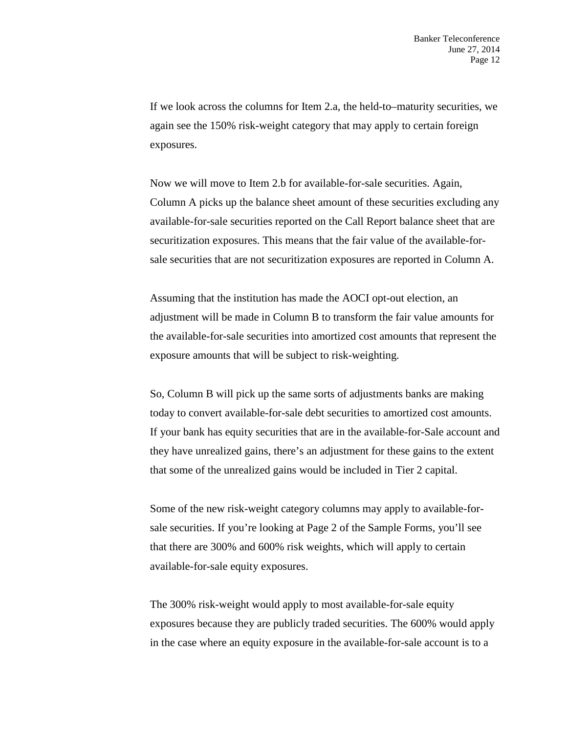If we look across the columns for Item 2.a, the held-to–maturity securities, we again see the 150% risk-weight category that may apply to certain foreign exposures.

Now we will move to Item 2.b for available-for-sale securities. Again, Column A picks up the balance sheet amount of these securities excluding any available-for-sale securities reported on the Call Report balance sheet that are securitization exposures. This means that the fair value of the available-forsale securities that are not securitization exposures are reported in Column A.

Assuming that the institution has made the AOCI opt-out election, an adjustment will be made in Column B to transform the fair value amounts for the available-for-sale securities into amortized cost amounts that represent the exposure amounts that will be subject to risk-weighting.

So, Column B will pick up the same sorts of adjustments banks are making today to convert available-for-sale debt securities to amortized cost amounts. If your bank has equity securities that are in the available-for-Sale account and they have unrealized gains, there's an adjustment for these gains to the extent that some of the unrealized gains would be included in Tier 2 capital.

Some of the new risk-weight category columns may apply to available-forsale securities. If you're looking at Page 2 of the Sample Forms, you'll see that there are 300% and 600% risk weights, which will apply to certain available-for-sale equity exposures.

The 300% risk-weight would apply to most available-for-sale equity exposures because they are publicly traded securities. The 600% would apply in the case where an equity exposure in the available-for-sale account is to a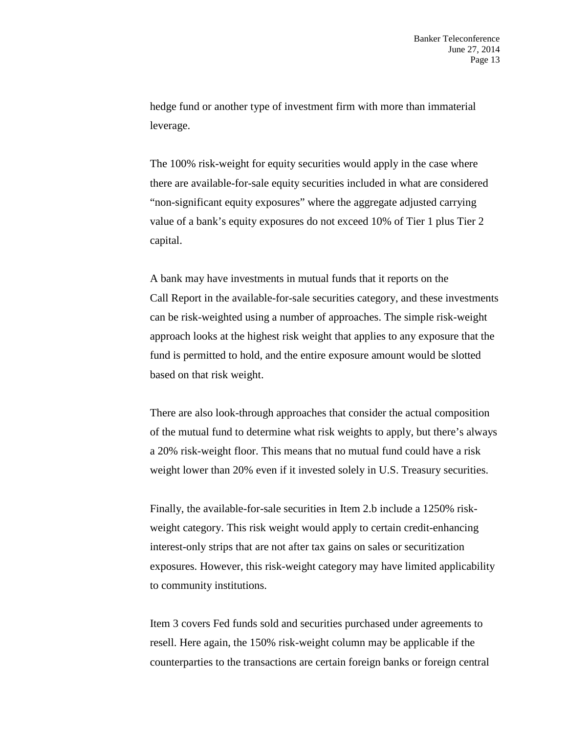hedge fund or another type of investment firm with more than immaterial leverage.

The 100% risk-weight for equity securities would apply in the case where there are available-for-sale equity securities included in what are considered "non-significant equity exposures" where the aggregate adjusted carrying value of a bank's equity exposures do not exceed 10% of Tier 1 plus Tier 2 capital.

A bank may have investments in mutual funds that it reports on the Call Report in the available-for-sale securities category, and these investments can be risk-weighted using a number of approaches. The simple risk-weight approach looks at the highest risk weight that applies to any exposure that the fund is permitted to hold, and the entire exposure amount would be slotted based on that risk weight.

There are also look-through approaches that consider the actual composition of the mutual fund to determine what risk weights to apply, but there's always a 20% risk-weight floor. This means that no mutual fund could have a risk weight lower than 20% even if it invested solely in U.S. Treasury securities.

Finally, the available-for-sale securities in Item 2.b include a 1250% riskweight category. This risk weight would apply to certain credit-enhancing interest-only strips that are not after tax gains on sales or securitization exposures. However, this risk-weight category may have limited applicability to community institutions.

Item 3 covers Fed funds sold and securities purchased under agreements to resell. Here again, the 150% risk-weight column may be applicable if the counterparties to the transactions are certain foreign banks or foreign central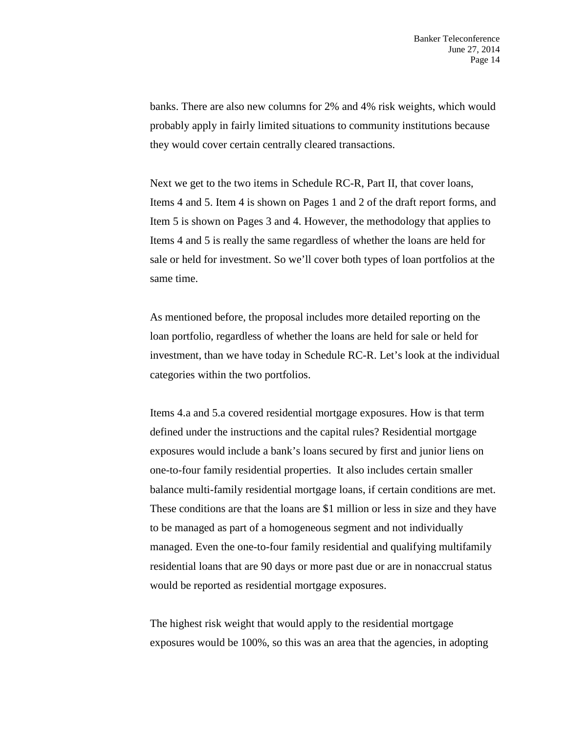banks. There are also new columns for 2% and 4% risk weights, which would probably apply in fairly limited situations to community institutions because they would cover certain centrally cleared transactions.

Next we get to the two items in Schedule RC-R, Part II, that cover loans, Items 4 and 5. Item 4 is shown on Pages 1 and 2 of the draft report forms, and Item 5 is shown on Pages 3 and 4. However, the methodology that applies to Items 4 and 5 is really the same regardless of whether the loans are held for sale or held for investment. So we'll cover both types of loan portfolios at the same time.

As mentioned before, the proposal includes more detailed reporting on the loan portfolio, regardless of whether the loans are held for sale or held for investment, than we have today in Schedule RC-R. Let's look at the individual categories within the two portfolios.

Items 4.a and 5.a covered residential mortgage exposures. How is that term defined under the instructions and the capital rules? Residential mortgage exposures would include a bank's loans secured by first and junior liens on one-to-four family residential properties. It also includes certain smaller balance multi-family residential mortgage loans, if certain conditions are met. These conditions are that the loans are \$1 million or less in size and they have to be managed as part of a homogeneous segment and not individually managed. Even the one-to-four family residential and qualifying multifamily residential loans that are 90 days or more past due or are in nonaccrual status would be reported as residential mortgage exposures.

The highest risk weight that would apply to the residential mortgage exposures would be 100%, so this was an area that the agencies, in adopting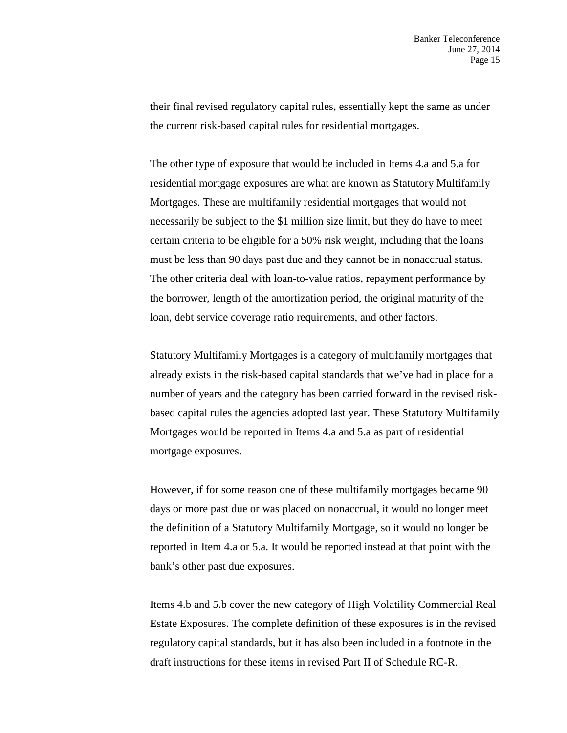their final revised regulatory capital rules, essentially kept the same as under the current risk-based capital rules for residential mortgages.

The other type of exposure that would be included in Items 4.a and 5.a for residential mortgage exposures are what are known as Statutory Multifamily Mortgages. These are multifamily residential mortgages that would not necessarily be subject to the \$1 million size limit, but they do have to meet certain criteria to be eligible for a 50% risk weight, including that the loans must be less than 90 days past due and they cannot be in nonaccrual status. The other criteria deal with loan-to-value ratios, repayment performance by the borrower, length of the amortization period, the original maturity of the loan, debt service coverage ratio requirements, and other factors.

Statutory Multifamily Mortgages is a category of multifamily mortgages that already exists in the risk-based capital standards that we've had in place for a number of years and the category has been carried forward in the revised riskbased capital rules the agencies adopted last year. These Statutory Multifamily Mortgages would be reported in Items 4.a and 5.a as part of residential mortgage exposures.

However, if for some reason one of these multifamily mortgages became 90 days or more past due or was placed on nonaccrual, it would no longer meet the definition of a Statutory Multifamily Mortgage, so it would no longer be reported in Item 4.a or 5.a. It would be reported instead at that point with the bank's other past due exposures.

Items 4.b and 5.b cover the new category of High Volatility Commercial Real Estate Exposures. The complete definition of these exposures is in the revised regulatory capital standards, but it has also been included in a footnote in the draft instructions for these items in revised Part II of Schedule RC-R.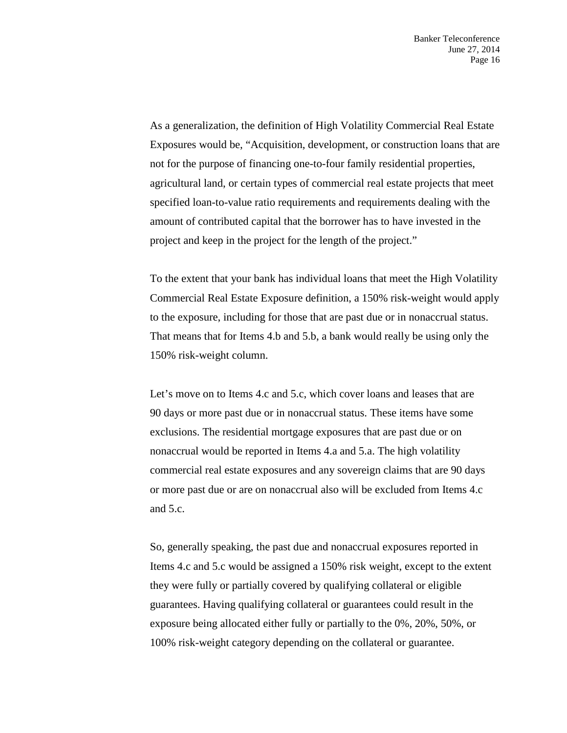As a generalization, the definition of High Volatility Commercial Real Estate Exposures would be, "Acquisition, development, or construction loans that are not for the purpose of financing one-to-four family residential properties, agricultural land, or certain types of commercial real estate projects that meet specified loan-to-value ratio requirements and requirements dealing with the amount of contributed capital that the borrower has to have invested in the project and keep in the project for the length of the project."

To the extent that your bank has individual loans that meet the High Volatility Commercial Real Estate Exposure definition, a 150% risk-weight would apply to the exposure, including for those that are past due or in nonaccrual status. That means that for Items 4.b and 5.b, a bank would really be using only the 150% risk-weight column.

Let's move on to Items 4.c and 5.c, which cover loans and leases that are 90 days or more past due or in nonaccrual status. These items have some exclusions. The residential mortgage exposures that are past due or on nonaccrual would be reported in Items 4.a and 5.a. The high volatility commercial real estate exposures and any sovereign claims that are 90 days or more past due or are on nonaccrual also will be excluded from Items 4.c and 5.c.

So, generally speaking, the past due and nonaccrual exposures reported in Items 4.c and 5.c would be assigned a 150% risk weight, except to the extent they were fully or partially covered by qualifying collateral or eligible guarantees. Having qualifying collateral or guarantees could result in the exposure being allocated either fully or partially to the 0%, 20%, 50%, or 100% risk-weight category depending on the collateral or guarantee.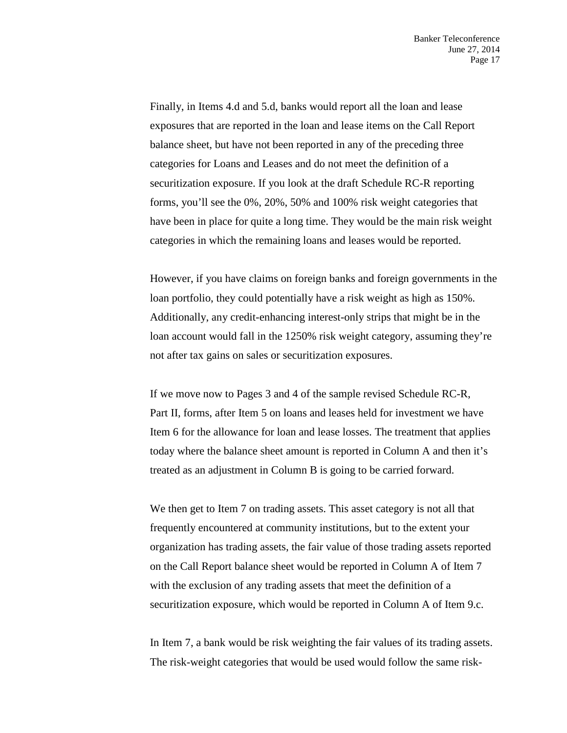Finally, in Items 4.d and 5.d, banks would report all the loan and lease exposures that are reported in the loan and lease items on the Call Report balance sheet, but have not been reported in any of the preceding three categories for Loans and Leases and do not meet the definition of a securitization exposure. If you look at the draft Schedule RC-R reporting forms, you'll see the 0%, 20%, 50% and 100% risk weight categories that have been in place for quite a long time. They would be the main risk weight categories in which the remaining loans and leases would be reported.

However, if you have claims on foreign banks and foreign governments in the loan portfolio, they could potentially have a risk weight as high as 150%. Additionally, any credit-enhancing interest-only strips that might be in the loan account would fall in the 1250% risk weight category, assuming they're not after tax gains on sales or securitization exposures.

If we move now to Pages 3 and 4 of the sample revised Schedule RC-R, Part II, forms, after Item 5 on loans and leases held for investment we have Item 6 for the allowance for loan and lease losses. The treatment that applies today where the balance sheet amount is reported in Column A and then it's treated as an adjustment in Column B is going to be carried forward.

We then get to Item 7 on trading assets. This asset category is not all that frequently encountered at community institutions, but to the extent your organization has trading assets, the fair value of those trading assets reported on the Call Report balance sheet would be reported in Column A of Item 7 with the exclusion of any trading assets that meet the definition of a securitization exposure, which would be reported in Column A of Item 9.c.

In Item 7, a bank would be risk weighting the fair values of its trading assets. The risk-weight categories that would be used would follow the same risk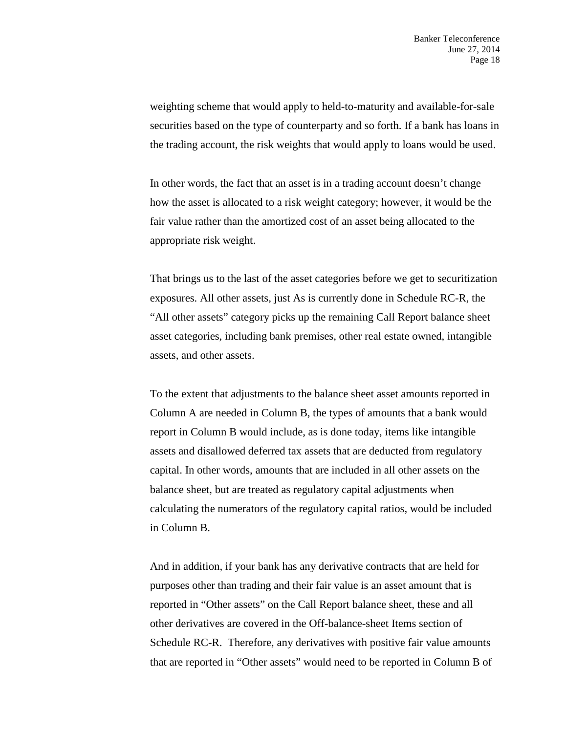weighting scheme that would apply to held-to-maturity and available-for-sale securities based on the type of counterparty and so forth. If a bank has loans in the trading account, the risk weights that would apply to loans would be used.

In other words, the fact that an asset is in a trading account doesn't change how the asset is allocated to a risk weight category; however, it would be the fair value rather than the amortized cost of an asset being allocated to the appropriate risk weight.

That brings us to the last of the asset categories before we get to securitization exposures. All other assets, just As is currently done in Schedule RC-R, the "All other assets" category picks up the remaining Call Report balance sheet asset categories, including bank premises, other real estate owned, intangible assets, and other assets.

To the extent that adjustments to the balance sheet asset amounts reported in Column A are needed in Column B, the types of amounts that a bank would report in Column B would include, as is done today, items like intangible assets and disallowed deferred tax assets that are deducted from regulatory capital. In other words, amounts that are included in all other assets on the balance sheet, but are treated as regulatory capital adjustments when calculating the numerators of the regulatory capital ratios, would be included in Column B.

And in addition, if your bank has any derivative contracts that are held for purposes other than trading and their fair value is an asset amount that is reported in "Other assets" on the Call Report balance sheet, these and all other derivatives are covered in the Off-balance-sheet Items section of Schedule RC-R. Therefore, any derivatives with positive fair value amounts that are reported in "Other assets" would need to be reported in Column B of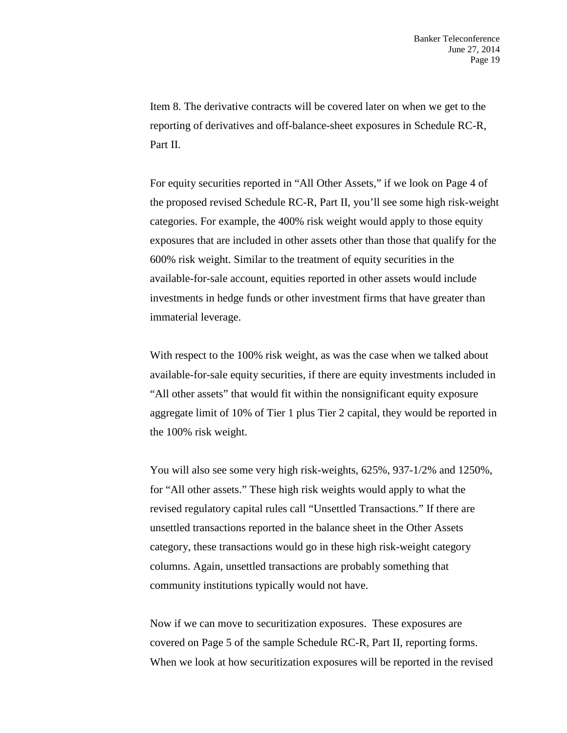Item 8. The derivative contracts will be covered later on when we get to the reporting of derivatives and off-balance-sheet exposures in Schedule RC-R, Part II.

For equity securities reported in "All Other Assets," if we look on Page 4 of the proposed revised Schedule RC-R, Part II, you'll see some high risk-weight categories. For example, the 400% risk weight would apply to those equity exposures that are included in other assets other than those that qualify for the 600% risk weight. Similar to the treatment of equity securities in the available-for-sale account, equities reported in other assets would include investments in hedge funds or other investment firms that have greater than immaterial leverage.

With respect to the 100% risk weight, as was the case when we talked about available-for-sale equity securities, if there are equity investments included in "All other assets" that would fit within the nonsignificant equity exposure aggregate limit of 10% of Tier 1 plus Tier 2 capital, they would be reported in the 100% risk weight.

You will also see some very high risk-weights, 625%, 937-1/2% and 1250%, for "All other assets." These high risk weights would apply to what the revised regulatory capital rules call "Unsettled Transactions." If there are unsettled transactions reported in the balance sheet in the Other Assets category, these transactions would go in these high risk-weight category columns. Again, unsettled transactions are probably something that community institutions typically would not have.

Now if we can move to securitization exposures. These exposures are covered on Page 5 of the sample Schedule RC-R, Part II, reporting forms. When we look at how securitization exposures will be reported in the revised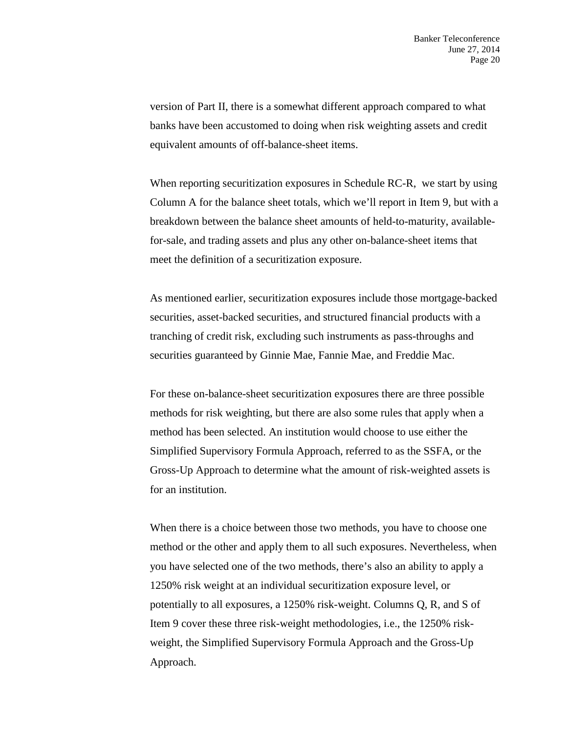version of Part II, there is a somewhat different approach compared to what banks have been accustomed to doing when risk weighting assets and credit equivalent amounts of off-balance-sheet items.

When reporting securitization exposures in Schedule RC-R, we start by using Column A for the balance sheet totals, which we'll report in Item 9, but with a breakdown between the balance sheet amounts of held-to-maturity, availablefor-sale, and trading assets and plus any other on-balance-sheet items that meet the definition of a securitization exposure.

As mentioned earlier, securitization exposures include those mortgage-backed securities, asset-backed securities, and structured financial products with a tranching of credit risk, excluding such instruments as pass-throughs and securities guaranteed by Ginnie Mae, Fannie Mae, and Freddie Mac.

For these on-balance-sheet securitization exposures there are three possible methods for risk weighting, but there are also some rules that apply when a method has been selected. An institution would choose to use either the Simplified Supervisory Formula Approach, referred to as the SSFA, or the Gross-Up Approach to determine what the amount of risk-weighted assets is for an institution.

When there is a choice between those two methods, you have to choose one method or the other and apply them to all such exposures. Nevertheless, when you have selected one of the two methods, there's also an ability to apply a 1250% risk weight at an individual securitization exposure level, or potentially to all exposures, a 1250% risk-weight. Columns Q, R, and S of Item 9 cover these three risk-weight methodologies, i.e., the 1250% riskweight, the Simplified Supervisory Formula Approach and the Gross-Up Approach.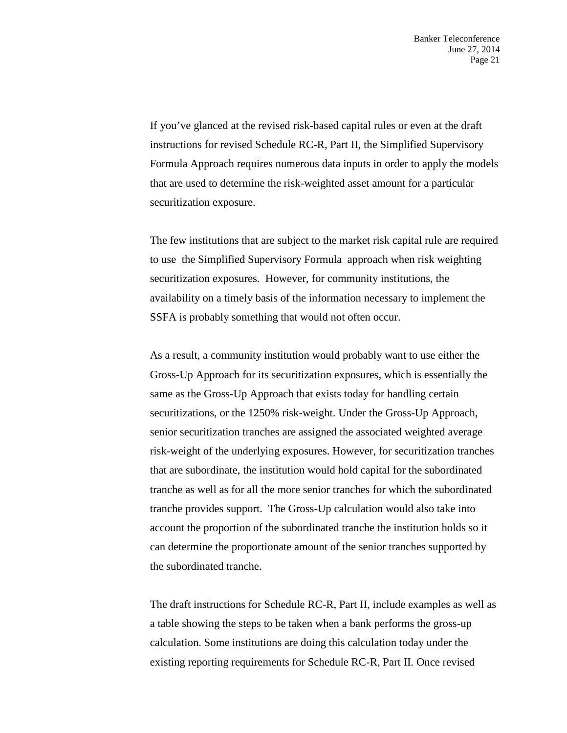If you've glanced at the revised risk-based capital rules or even at the draft instructions for revised Schedule RC-R, Part II, the Simplified Supervisory Formula Approach requires numerous data inputs in order to apply the models that are used to determine the risk-weighted asset amount for a particular securitization exposure.

The few institutions that are subject to the market risk capital rule are required to use the Simplified Supervisory Formula approach when risk weighting securitization exposures. However, for community institutions, the availability on a timely basis of the information necessary to implement the SSFA is probably something that would not often occur.

As a result, a community institution would probably want to use either the Gross-Up Approach for its securitization exposures, which is essentially the same as the Gross-Up Approach that exists today for handling certain securitizations, or the 1250% risk-weight. Under the Gross-Up Approach, senior securitization tranches are assigned the associated weighted average risk-weight of the underlying exposures. However, for securitization tranches that are subordinate, the institution would hold capital for the subordinated tranche as well as for all the more senior tranches for which the subordinated tranche provides support. The Gross-Up calculation would also take into account the proportion of the subordinated tranche the institution holds so it can determine the proportionate amount of the senior tranches supported by the subordinated tranche.

The draft instructions for Schedule RC-R, Part II, include examples as well as a table showing the steps to be taken when a bank performs the gross-up calculation. Some institutions are doing this calculation today under the existing reporting requirements for Schedule RC-R, Part II. Once revised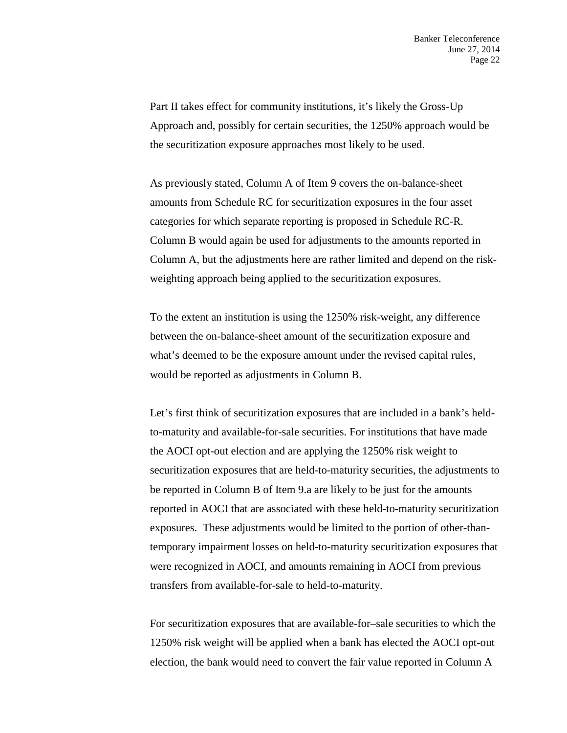Part II takes effect for community institutions, it's likely the Gross-Up Approach and, possibly for certain securities, the 1250% approach would be the securitization exposure approaches most likely to be used.

As previously stated, Column A of Item 9 covers the on-balance-sheet amounts from Schedule RC for securitization exposures in the four asset categories for which separate reporting is proposed in Schedule RC-R. Column B would again be used for adjustments to the amounts reported in Column A, but the adjustments here are rather limited and depend on the riskweighting approach being applied to the securitization exposures.

To the extent an institution is using the 1250% risk-weight, any difference between the on-balance-sheet amount of the securitization exposure and what's deemed to be the exposure amount under the revised capital rules, would be reported as adjustments in Column B.

Let's first think of securitization exposures that are included in a bank's heldto-maturity and available-for-sale securities. For institutions that have made the AOCI opt-out election and are applying the 1250% risk weight to securitization exposures that are held-to-maturity securities, the adjustments to be reported in Column B of Item 9.a are likely to be just for the amounts reported in AOCI that are associated with these held-to-maturity securitization exposures. These adjustments would be limited to the portion of other-thantemporary impairment losses on held-to-maturity securitization exposures that were recognized in AOCI, and amounts remaining in AOCI from previous transfers from available-for-sale to held-to-maturity.

For securitization exposures that are available-for–sale securities to which the 1250% risk weight will be applied when a bank has elected the AOCI opt-out election, the bank would need to convert the fair value reported in Column A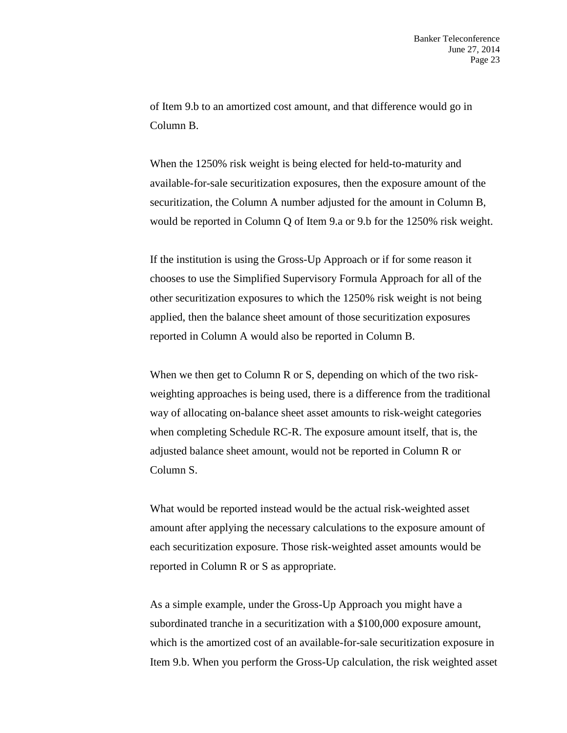of Item 9.b to an amortized cost amount, and that difference would go in Column B.

When the 1250% risk weight is being elected for held-to-maturity and available-for-sale securitization exposures, then the exposure amount of the securitization, the Column A number adjusted for the amount in Column B, would be reported in Column Q of Item 9.a or 9.b for the 1250% risk weight.

If the institution is using the Gross-Up Approach or if for some reason it chooses to use the Simplified Supervisory Formula Approach for all of the other securitization exposures to which the 1250% risk weight is not being applied, then the balance sheet amount of those securitization exposures reported in Column A would also be reported in Column B.

When we then get to Column R or S, depending on which of the two riskweighting approaches is being used, there is a difference from the traditional way of allocating on-balance sheet asset amounts to risk-weight categories when completing Schedule RC-R. The exposure amount itself, that is, the adjusted balance sheet amount, would not be reported in Column R or Column S.

What would be reported instead would be the actual risk-weighted asset amount after applying the necessary calculations to the exposure amount of each securitization exposure. Those risk-weighted asset amounts would be reported in Column R or S as appropriate.

As a simple example, under the Gross-Up Approach you might have a subordinated tranche in a securitization with a \$100,000 exposure amount, which is the amortized cost of an available-for-sale securitization exposure in Item 9.b. When you perform the Gross-Up calculation, the risk weighted asset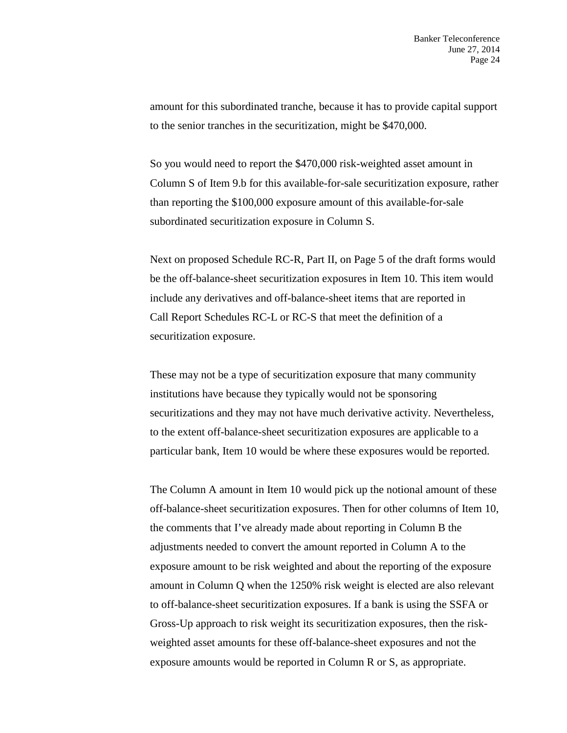amount for this subordinated tranche, because it has to provide capital support to the senior tranches in the securitization, might be \$470,000.

So you would need to report the \$470,000 risk-weighted asset amount in Column S of Item 9.b for this available-for-sale securitization exposure, rather than reporting the \$100,000 exposure amount of this available-for-sale subordinated securitization exposure in Column S.

Next on proposed Schedule RC-R, Part II, on Page 5 of the draft forms would be the off-balance-sheet securitization exposures in Item 10. This item would include any derivatives and off-balance-sheet items that are reported in Call Report Schedules RC-L or RC-S that meet the definition of a securitization exposure.

These may not be a type of securitization exposure that many community institutions have because they typically would not be sponsoring securitizations and they may not have much derivative activity. Nevertheless, to the extent off-balance-sheet securitization exposures are applicable to a particular bank, Item 10 would be where these exposures would be reported.

The Column A amount in Item 10 would pick up the notional amount of these off-balance-sheet securitization exposures. Then for other columns of Item 10, the comments that I've already made about reporting in Column B the adjustments needed to convert the amount reported in Column A to the exposure amount to be risk weighted and about the reporting of the exposure amount in Column Q when the 1250% risk weight is elected are also relevant to off-balance-sheet securitization exposures. If a bank is using the SSFA or Gross-Up approach to risk weight its securitization exposures, then the riskweighted asset amounts for these off-balance-sheet exposures and not the exposure amounts would be reported in Column R or S, as appropriate.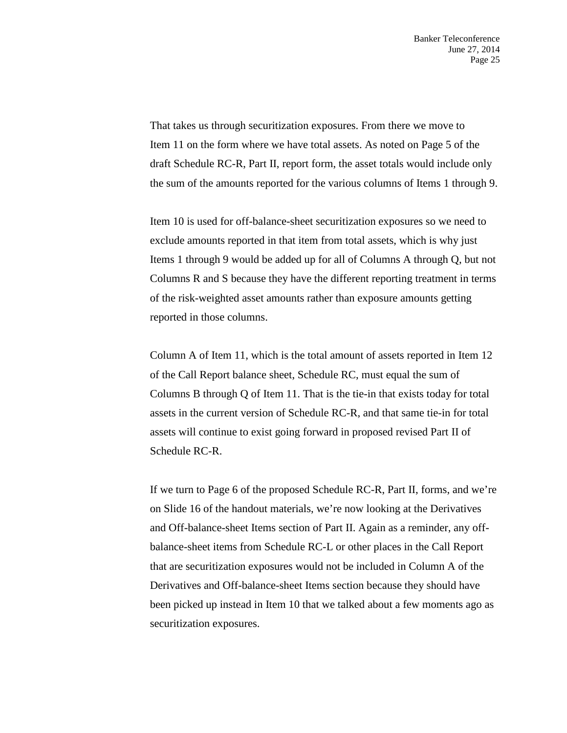That takes us through securitization exposures. From there we move to Item 11 on the form where we have total assets. As noted on Page 5 of the draft Schedule RC-R, Part II, report form, the asset totals would include only the sum of the amounts reported for the various columns of Items 1 through 9.

Item 10 is used for off-balance-sheet securitization exposures so we need to exclude amounts reported in that item from total assets, which is why just Items 1 through 9 would be added up for all of Columns A through Q, but not Columns R and S because they have the different reporting treatment in terms of the risk-weighted asset amounts rather than exposure amounts getting reported in those columns.

Column A of Item 11, which is the total amount of assets reported in Item 12 of the Call Report balance sheet, Schedule RC, must equal the sum of Columns B through Q of Item 11. That is the tie-in that exists today for total assets in the current version of Schedule RC-R, and that same tie-in for total assets will continue to exist going forward in proposed revised Part II of Schedule RC-R.

If we turn to Page 6 of the proposed Schedule RC-R, Part II, forms, and we're on Slide 16 of the handout materials, we're now looking at the Derivatives and Off-balance-sheet Items section of Part II. Again as a reminder, any offbalance-sheet items from Schedule RC-L or other places in the Call Report that are securitization exposures would not be included in Column A of the Derivatives and Off-balance-sheet Items section because they should have been picked up instead in Item 10 that we talked about a few moments ago as securitization exposures.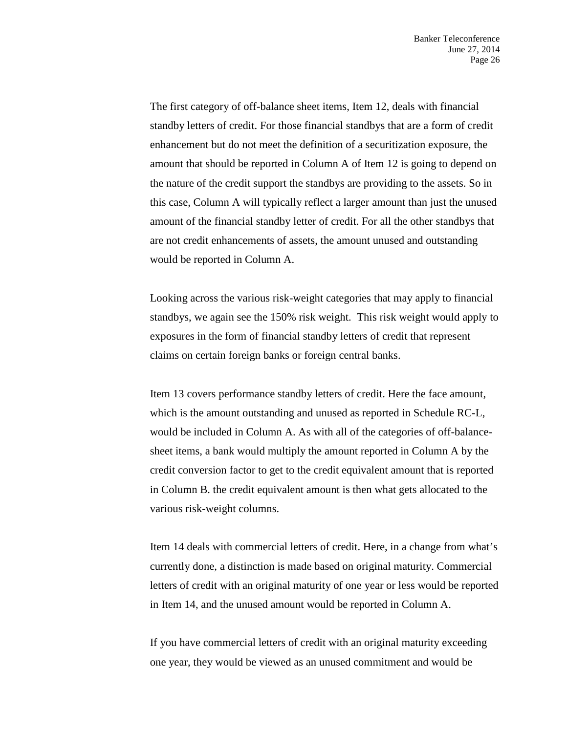The first category of off-balance sheet items, Item 12, deals with financial standby letters of credit. For those financial standbys that are a form of credit enhancement but do not meet the definition of a securitization exposure, the amount that should be reported in Column A of Item 12 is going to depend on the nature of the credit support the standbys are providing to the assets. So in this case, Column A will typically reflect a larger amount than just the unused amount of the financial standby letter of credit. For all the other standbys that are not credit enhancements of assets, the amount unused and outstanding would be reported in Column A.

Looking across the various risk-weight categories that may apply to financial standbys, we again see the 150% risk weight. This risk weight would apply to exposures in the form of financial standby letters of credit that represent claims on certain foreign banks or foreign central banks.

Item 13 covers performance standby letters of credit. Here the face amount, which is the amount outstanding and unused as reported in Schedule RC-L, would be included in Column A. As with all of the categories of off-balancesheet items, a bank would multiply the amount reported in Column A by the credit conversion factor to get to the credit equivalent amount that is reported in Column B. the credit equivalent amount is then what gets allocated to the various risk-weight columns.

Item 14 deals with commercial letters of credit. Here, in a change from what's currently done, a distinction is made based on original maturity. Commercial letters of credit with an original maturity of one year or less would be reported in Item 14, and the unused amount would be reported in Column A.

If you have commercial letters of credit with an original maturity exceeding one year, they would be viewed as an unused commitment and would be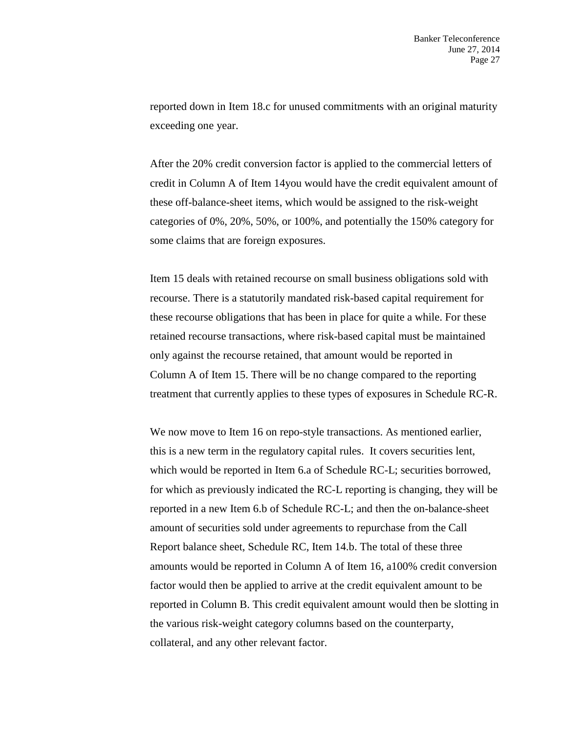reported down in Item 18.c for unused commitments with an original maturity exceeding one year.

After the 20% credit conversion factor is applied to the commercial letters of credit in Column A of Item 14you would have the credit equivalent amount of these off-balance-sheet items, which would be assigned to the risk-weight categories of 0%, 20%, 50%, or 100%, and potentially the 150% category for some claims that are foreign exposures.

Item 15 deals with retained recourse on small business obligations sold with recourse. There is a statutorily mandated risk-based capital requirement for these recourse obligations that has been in place for quite a while. For these retained recourse transactions, where risk-based capital must be maintained only against the recourse retained, that amount would be reported in Column A of Item 15. There will be no change compared to the reporting treatment that currently applies to these types of exposures in Schedule RC-R.

We now move to Item 16 on repo-style transactions. As mentioned earlier, this is a new term in the regulatory capital rules. It covers securities lent, which would be reported in Item 6.a of Schedule RC-L; securities borrowed, for which as previously indicated the RC-L reporting is changing, they will be reported in a new Item 6.b of Schedule RC-L; and then the on-balance-sheet amount of securities sold under agreements to repurchase from the Call Report balance sheet, Schedule RC, Item 14.b. The total of these three amounts would be reported in Column A of Item 16, a100% credit conversion factor would then be applied to arrive at the credit equivalent amount to be reported in Column B. This credit equivalent amount would then be slotting in the various risk-weight category columns based on the counterparty, collateral, and any other relevant factor.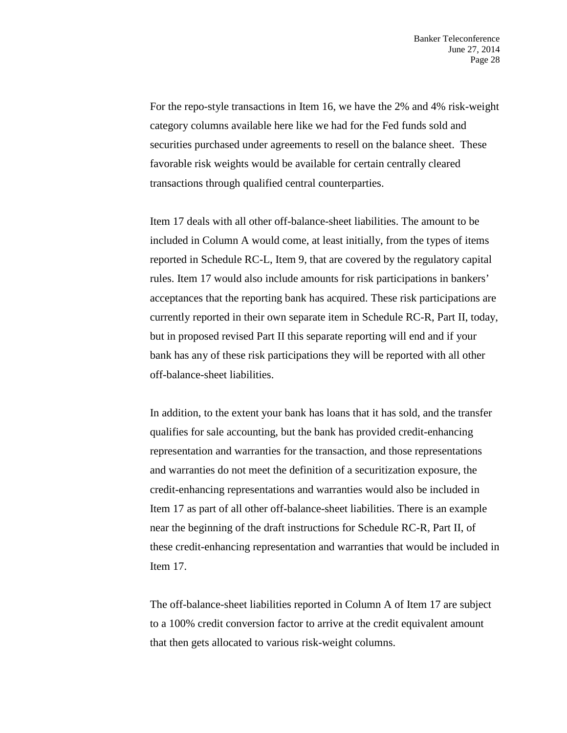For the repo-style transactions in Item 16, we have the 2% and 4% risk-weight category columns available here like we had for the Fed funds sold and securities purchased under agreements to resell on the balance sheet. These favorable risk weights would be available for certain centrally cleared transactions through qualified central counterparties.

Item 17 deals with all other off-balance-sheet liabilities. The amount to be included in Column A would come, at least initially, from the types of items reported in Schedule RC-L, Item 9, that are covered by the regulatory capital rules. Item 17 would also include amounts for risk participations in bankers' acceptances that the reporting bank has acquired. These risk participations are currently reported in their own separate item in Schedule RC-R, Part II, today, but in proposed revised Part II this separate reporting will end and if your bank has any of these risk participations they will be reported with all other off-balance-sheet liabilities.

In addition, to the extent your bank has loans that it has sold, and the transfer qualifies for sale accounting, but the bank has provided credit-enhancing representation and warranties for the transaction, and those representations and warranties do not meet the definition of a securitization exposure, the credit-enhancing representations and warranties would also be included in Item 17 as part of all other off-balance-sheet liabilities. There is an example near the beginning of the draft instructions for Schedule RC-R, Part II, of these credit-enhancing representation and warranties that would be included in Item 17.

The off-balance-sheet liabilities reported in Column A of Item 17 are subject to a 100% credit conversion factor to arrive at the credit equivalent amount that then gets allocated to various risk-weight columns.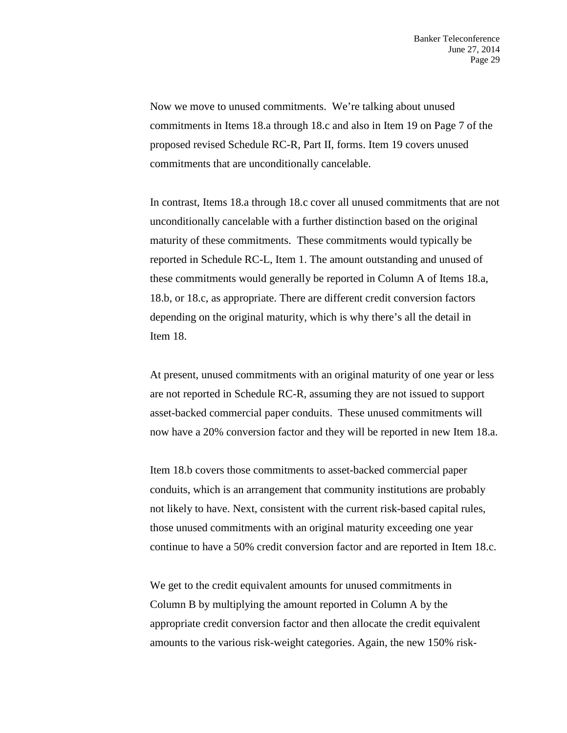Now we move to unused commitments. We're talking about unused commitments in Items 18.a through 18.c and also in Item 19 on Page 7 of the proposed revised Schedule RC-R, Part II, forms. Item 19 covers unused commitments that are unconditionally cancelable.

In contrast, Items 18.a through 18.c cover all unused commitments that are not unconditionally cancelable with a further distinction based on the original maturity of these commitments. These commitments would typically be reported in Schedule RC-L, Item 1. The amount outstanding and unused of these commitments would generally be reported in Column A of Items 18.a, 18.b, or 18.c, as appropriate. There are different credit conversion factors depending on the original maturity, which is why there's all the detail in Item 18.

At present, unused commitments with an original maturity of one year or less are not reported in Schedule RC-R, assuming they are not issued to support asset-backed commercial paper conduits. These unused commitments will now have a 20% conversion factor and they will be reported in new Item 18.a.

Item 18.b covers those commitments to asset-backed commercial paper conduits, which is an arrangement that community institutions are probably not likely to have. Next, consistent with the current risk-based capital rules, those unused commitments with an original maturity exceeding one year continue to have a 50% credit conversion factor and are reported in Item 18.c.

We get to the credit equivalent amounts for unused commitments in Column B by multiplying the amount reported in Column A by the appropriate credit conversion factor and then allocate the credit equivalent amounts to the various risk-weight categories. Again, the new 150% risk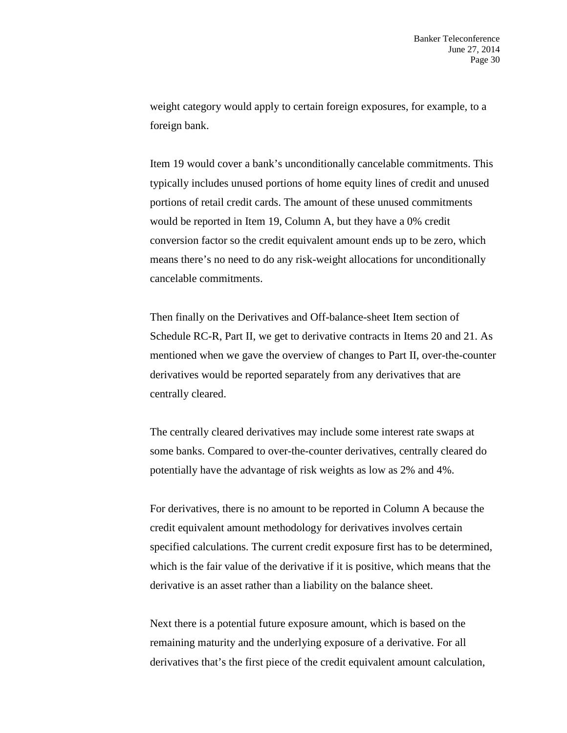weight category would apply to certain foreign exposures, for example, to a foreign bank.

Item 19 would cover a bank's unconditionally cancelable commitments. This typically includes unused portions of home equity lines of credit and unused portions of retail credit cards. The amount of these unused commitments would be reported in Item 19, Column A, but they have a 0% credit conversion factor so the credit equivalent amount ends up to be zero, which means there's no need to do any risk-weight allocations for unconditionally cancelable commitments.

Then finally on the Derivatives and Off-balance-sheet Item section of Schedule RC-R, Part II, we get to derivative contracts in Items 20 and 21. As mentioned when we gave the overview of changes to Part II, over-the-counter derivatives would be reported separately from any derivatives that are centrally cleared.

The centrally cleared derivatives may include some interest rate swaps at some banks. Compared to over-the-counter derivatives, centrally cleared do potentially have the advantage of risk weights as low as 2% and 4%.

For derivatives, there is no amount to be reported in Column A because the credit equivalent amount methodology for derivatives involves certain specified calculations. The current credit exposure first has to be determined, which is the fair value of the derivative if it is positive, which means that the derivative is an asset rather than a liability on the balance sheet.

Next there is a potential future exposure amount, which is based on the remaining maturity and the underlying exposure of a derivative. For all derivatives that's the first piece of the credit equivalent amount calculation,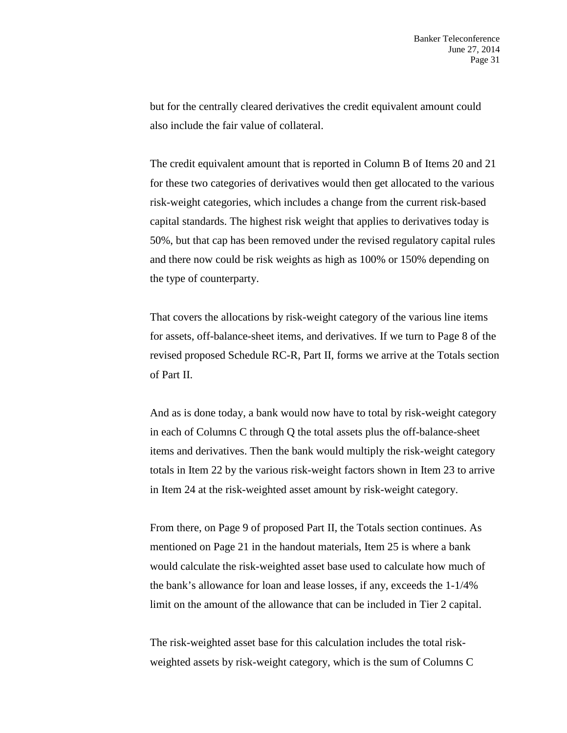but for the centrally cleared derivatives the credit equivalent amount could also include the fair value of collateral.

The credit equivalent amount that is reported in Column B of Items 20 and 21 for these two categories of derivatives would then get allocated to the various risk-weight categories, which includes a change from the current risk-based capital standards. The highest risk weight that applies to derivatives today is 50%, but that cap has been removed under the revised regulatory capital rules and there now could be risk weights as high as 100% or 150% depending on the type of counterparty.

That covers the allocations by risk-weight category of the various line items for assets, off-balance-sheet items, and derivatives. If we turn to Page 8 of the revised proposed Schedule RC-R, Part II, forms we arrive at the Totals section of Part II.

And as is done today, a bank would now have to total by risk-weight category in each of Columns C through Q the total assets plus the off-balance-sheet items and derivatives. Then the bank would multiply the risk-weight category totals in Item 22 by the various risk-weight factors shown in Item 23 to arrive in Item 24 at the risk-weighted asset amount by risk-weight category.

From there, on Page 9 of proposed Part II, the Totals section continues. As mentioned on Page 21 in the handout materials, Item 25 is where a bank would calculate the risk-weighted asset base used to calculate how much of the bank's allowance for loan and lease losses, if any, exceeds the 1-1/4% limit on the amount of the allowance that can be included in Tier 2 capital.

The risk-weighted asset base for this calculation includes the total riskweighted assets by risk-weight category, which is the sum of Columns C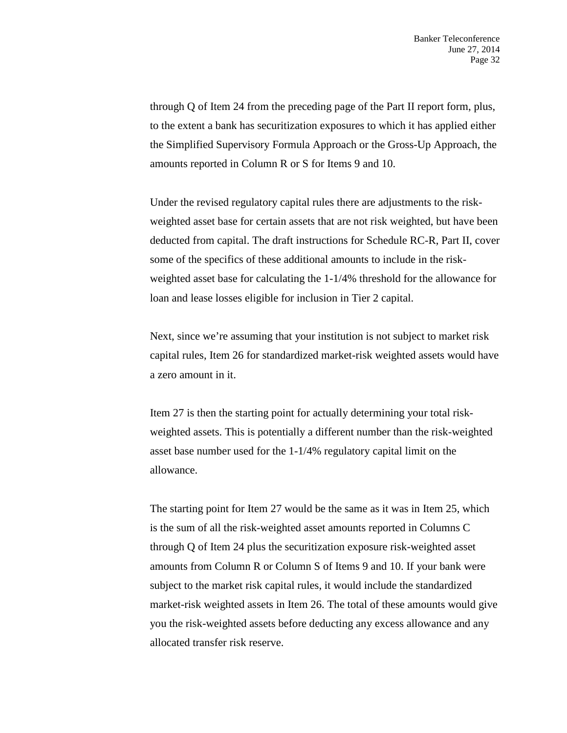through Q of Item 24 from the preceding page of the Part II report form, plus, to the extent a bank has securitization exposures to which it has applied either the Simplified Supervisory Formula Approach or the Gross-Up Approach, the amounts reported in Column R or S for Items 9 and 10.

Under the revised regulatory capital rules there are adjustments to the riskweighted asset base for certain assets that are not risk weighted, but have been deducted from capital. The draft instructions for Schedule RC-R, Part II, cover some of the specifics of these additional amounts to include in the riskweighted asset base for calculating the 1-1/4% threshold for the allowance for loan and lease losses eligible for inclusion in Tier 2 capital.

Next, since we're assuming that your institution is not subject to market risk capital rules, Item 26 for standardized market-risk weighted assets would have a zero amount in it.

Item 27 is then the starting point for actually determining your total riskweighted assets. This is potentially a different number than the risk-weighted asset base number used for the 1-1/4% regulatory capital limit on the allowance.

The starting point for Item 27 would be the same as it was in Item 25, which is the sum of all the risk-weighted asset amounts reported in Columns C through Q of Item 24 plus the securitization exposure risk-weighted asset amounts from Column R or Column S of Items 9 and 10. If your bank were subject to the market risk capital rules, it would include the standardized market-risk weighted assets in Item 26. The total of these amounts would give you the risk-weighted assets before deducting any excess allowance and any allocated transfer risk reserve.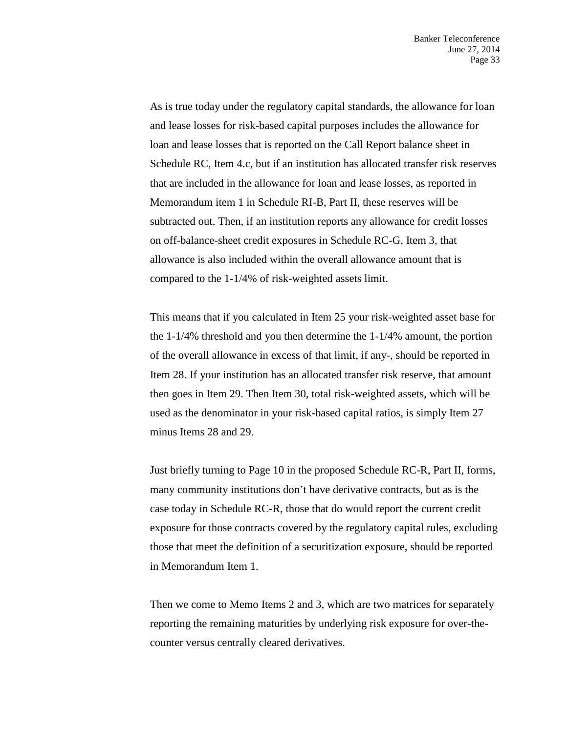As is true today under the regulatory capital standards, the allowance for loan and lease losses for risk-based capital purposes includes the allowance for loan and lease losses that is reported on the Call Report balance sheet in Schedule RC, Item 4.c, but if an institution has allocated transfer risk reserves that are included in the allowance for loan and lease losses, as reported in Memorandum item 1 in Schedule RI-B, Part II, these reserves will be subtracted out. Then, if an institution reports any allowance for credit losses on off-balance-sheet credit exposures in Schedule RC-G, Item 3, that allowance is also included within the overall allowance amount that is compared to the 1-1/4% of risk-weighted assets limit.

This means that if you calculated in Item 25 your risk-weighted asset base for the 1-1/4% threshold and you then determine the 1-1/4% amount, the portion of the overall allowance in excess of that limit, if any-, should be reported in Item 28. If your institution has an allocated transfer risk reserve, that amount then goes in Item 29. Then Item 30, total risk-weighted assets, which will be used as the denominator in your risk-based capital ratios, is simply Item 27 minus Items 28 and 29.

Just briefly turning to Page 10 in the proposed Schedule RC-R, Part II, forms, many community institutions don't have derivative contracts, but as is the case today in Schedule RC-R, those that do would report the current credit exposure for those contracts covered by the regulatory capital rules, excluding those that meet the definition of a securitization exposure, should be reported in Memorandum Item 1.

Then we come to Memo Items 2 and 3, which are two matrices for separately reporting the remaining maturities by underlying risk exposure for over-thecounter versus centrally cleared derivatives.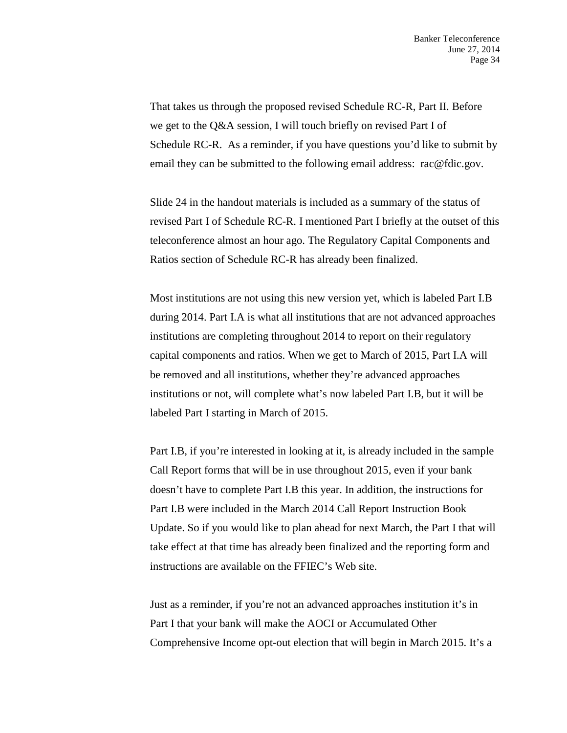That takes us through the proposed revised Schedule RC-R, Part II. Before we get to the Q&A session, I will touch briefly on revised Part I of Schedule RC-R. As a reminder, if you have questions you'd like to submit by email they can be submitted to the following email address: rac@fdic.gov.

Slide 24 in the handout materials is included as a summary of the status of revised Part I of Schedule RC-R. I mentioned Part I briefly at the outset of this teleconference almost an hour ago. The Regulatory Capital Components and Ratios section of Schedule RC-R has already been finalized.

Most institutions are not using this new version yet, which is labeled Part I.B during 2014. Part I.A is what all institutions that are not advanced approaches institutions are completing throughout 2014 to report on their regulatory capital components and ratios. When we get to March of 2015, Part I.A will be removed and all institutions, whether they're advanced approaches institutions or not, will complete what's now labeled Part I.B, but it will be labeled Part I starting in March of 2015.

Part I.B, if you're interested in looking at it, is already included in the sample Call Report forms that will be in use throughout 2015, even if your bank doesn't have to complete Part I.B this year. In addition, the instructions for Part I.B were included in the March 2014 Call Report Instruction Book Update. So if you would like to plan ahead for next March, the Part I that will take effect at that time has already been finalized and the reporting form and instructions are available on the FFIEC's Web site.

Just as a reminder, if you're not an advanced approaches institution it's in Part I that your bank will make the AOCI or Accumulated Other Comprehensive Income opt-out election that will begin in March 2015. It's a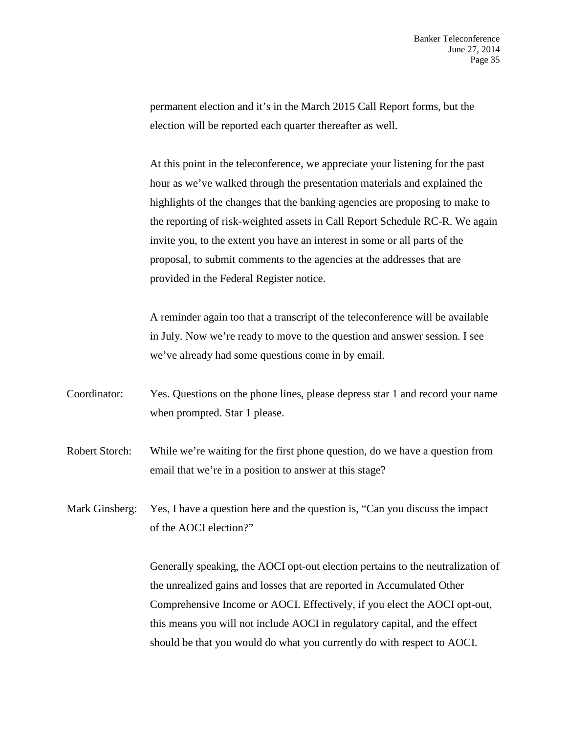permanent election and it's in the March 2015 Call Report forms, but the election will be reported each quarter thereafter as well.

At this point in the teleconference, we appreciate your listening for the past hour as we've walked through the presentation materials and explained the highlights of the changes that the banking agencies are proposing to make to the reporting of risk-weighted assets in Call Report Schedule RC-R. We again invite you, to the extent you have an interest in some or all parts of the proposal, to submit comments to the agencies at the addresses that are provided in the Federal Register notice.

A reminder again too that a transcript of the teleconference will be available in July. Now we're ready to move to the question and answer session. I see we've already had some questions come in by email.

- Coordinator: Yes. Questions on the phone lines, please depress star 1 and record your name when prompted. Star 1 please.
- Robert Storch: While we're waiting for the first phone question, do we have a question from email that we're in a position to answer at this stage?

Mark Ginsberg: Yes, I have a question here and the question is, "Can you discuss the impact of the AOCI election?"

> Generally speaking, the AOCI opt-out election pertains to the neutralization of the unrealized gains and losses that are reported in Accumulated Other Comprehensive Income or AOCI. Effectively, if you elect the AOCI opt-out, this means you will not include AOCI in regulatory capital, and the effect should be that you would do what you currently do with respect to AOCI.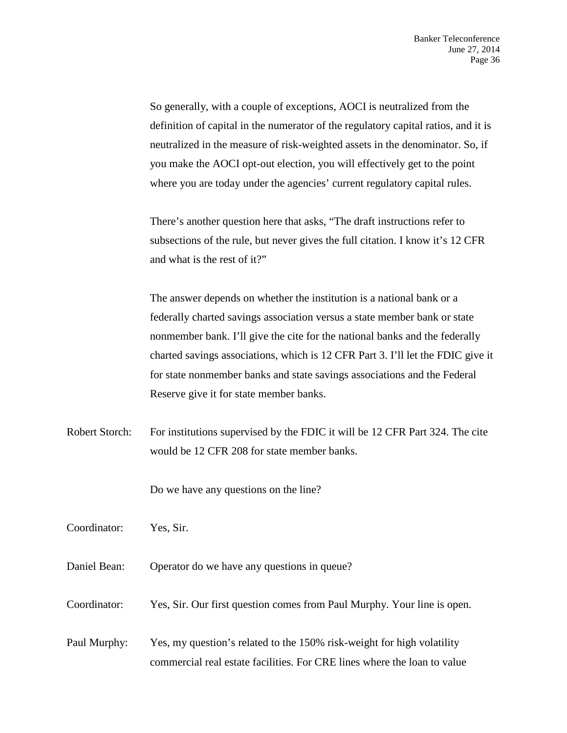So generally, with a couple of exceptions, AOCI is neutralized from the definition of capital in the numerator of the regulatory capital ratios, and it is neutralized in the measure of risk-weighted assets in the denominator. So, if you make the AOCI opt-out election, you will effectively get to the point where you are today under the agencies' current regulatory capital rules.

There's another question here that asks, "The draft instructions refer to subsections of the rule, but never gives the full citation. I know it's 12 CFR and what is the rest of it?"

The answer depends on whether the institution is a national bank or a federally charted savings association versus a state member bank or state nonmember bank. I'll give the cite for the national banks and the federally charted savings associations, which is 12 CFR Part 3. I'll let the FDIC give it for state nonmember banks and state savings associations and the Federal Reserve give it for state member banks.

Robert Storch: For institutions supervised by the FDIC it will be 12 CFR Part 324. The cite would be 12 CFR 208 for state member banks.

Do we have any questions on the line?

Coordinator: Yes, Sir.

Daniel Bean: Operator do we have any questions in queue?

Coordinator: Yes, Sir. Our first question comes from Paul Murphy. Your line is open.

Paul Murphy: Yes, my question's related to the 150% risk-weight for high volatility commercial real estate facilities. For CRE lines where the loan to value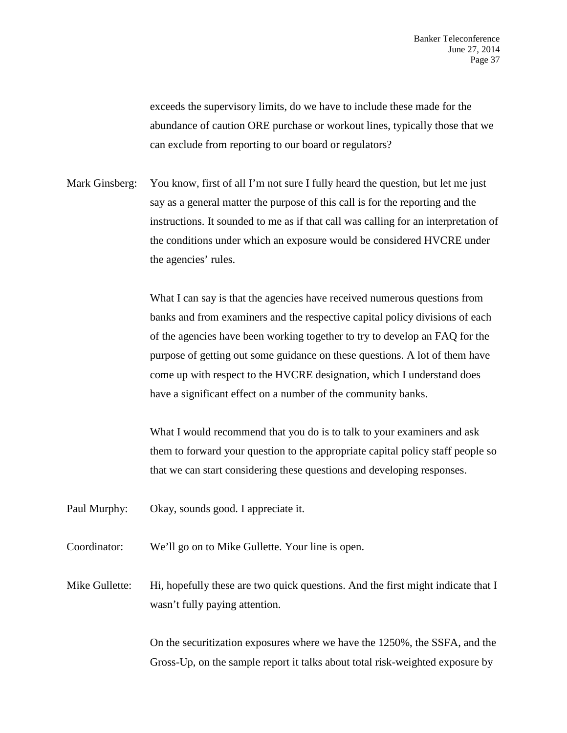exceeds the supervisory limits, do we have to include these made for the abundance of caution ORE purchase or workout lines, typically those that we can exclude from reporting to our board or regulators?

Mark Ginsberg: You know, first of all I'm not sure I fully heard the question, but let me just say as a general matter the purpose of this call is for the reporting and the instructions. It sounded to me as if that call was calling for an interpretation of the conditions under which an exposure would be considered HVCRE under the agencies' rules.

> What I can say is that the agencies have received numerous questions from banks and from examiners and the respective capital policy divisions of each of the agencies have been working together to try to develop an FAQ for the purpose of getting out some guidance on these questions. A lot of them have come up with respect to the HVCRE designation, which I understand does have a significant effect on a number of the community banks.

What I would recommend that you do is to talk to your examiners and ask them to forward your question to the appropriate capital policy staff people so that we can start considering these questions and developing responses.

- Paul Murphy: Okay, sounds good. I appreciate it.
- Coordinator: We'll go on to Mike Gullette. Your line is open.

Mike Gullette: Hi, hopefully these are two quick questions. And the first might indicate that I wasn't fully paying attention.

> On the securitization exposures where we have the 1250%, the SSFA, and the Gross-Up, on the sample report it talks about total risk-weighted exposure by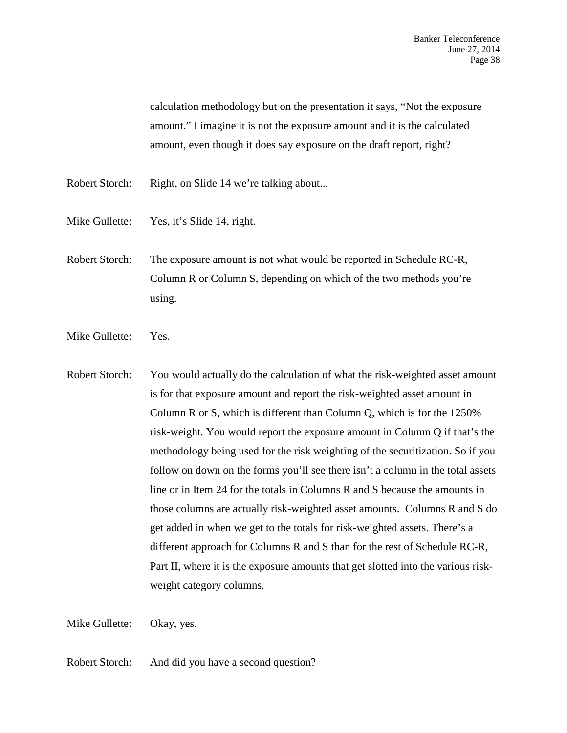calculation methodology but on the presentation it says, "Not the exposure amount." I imagine it is not the exposure amount and it is the calculated amount, even though it does say exposure on the draft report, right?

- Robert Storch: Right, on Slide 14 we're talking about...
- Mike Gullette: Yes, it's Slide 14, right.
- Robert Storch: The exposure amount is not what would be reported in Schedule RC-R, Column R or Column S, depending on which of the two methods you're using.
- Mike Gullette: Yes.
- Robert Storch: You would actually do the calculation of what the risk-weighted asset amount is for that exposure amount and report the risk-weighted asset amount in Column R or S, which is different than Column Q, which is for the 1250% risk-weight. You would report the exposure amount in Column Q if that's the methodology being used for the risk weighting of the securitization. So if you follow on down on the forms you'll see there isn't a column in the total assets line or in Item 24 for the totals in Columns R and S because the amounts in those columns are actually risk-weighted asset amounts. Columns R and S do get added in when we get to the totals for risk-weighted assets. There's a different approach for Columns R and S than for the rest of Schedule RC-R, Part II, where it is the exposure amounts that get slotted into the various riskweight category columns.

Mike Gullette: Okay, yes.

Robert Storch: And did you have a second question?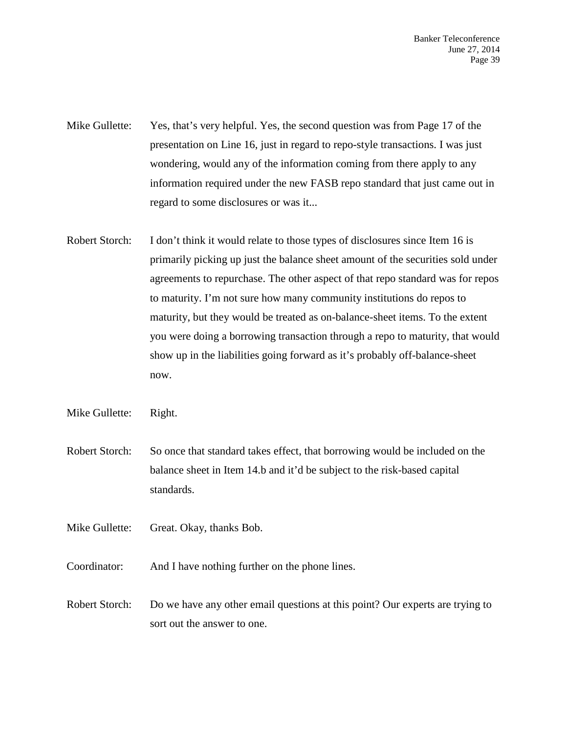Banker Teleconference June 27, 2014 Page 39

- Mike Gullette: Yes, that's very helpful. Yes, the second question was from Page 17 of the presentation on Line 16, just in regard to repo-style transactions. I was just wondering, would any of the information coming from there apply to any information required under the new FASB repo standard that just came out in regard to some disclosures or was it...
- Robert Storch: I don't think it would relate to those types of disclosures since Item 16 is primarily picking up just the balance sheet amount of the securities sold under agreements to repurchase. The other aspect of that repo standard was for repos to maturity. I'm not sure how many community institutions do repos to maturity, but they would be treated as on-balance-sheet items. To the extent you were doing a borrowing transaction through a repo to maturity, that would show up in the liabilities going forward as it's probably off-balance-sheet now.
- Mike Gullette: Right.
- Robert Storch: So once that standard takes effect, that borrowing would be included on the balance sheet in Item 14.b and it'd be subject to the risk-based capital standards.
- Mike Gullette: Great. Okay, thanks Bob.
- Coordinator: And I have nothing further on the phone lines.
- Robert Storch: Do we have any other email questions at this point? Our experts are trying to sort out the answer to one.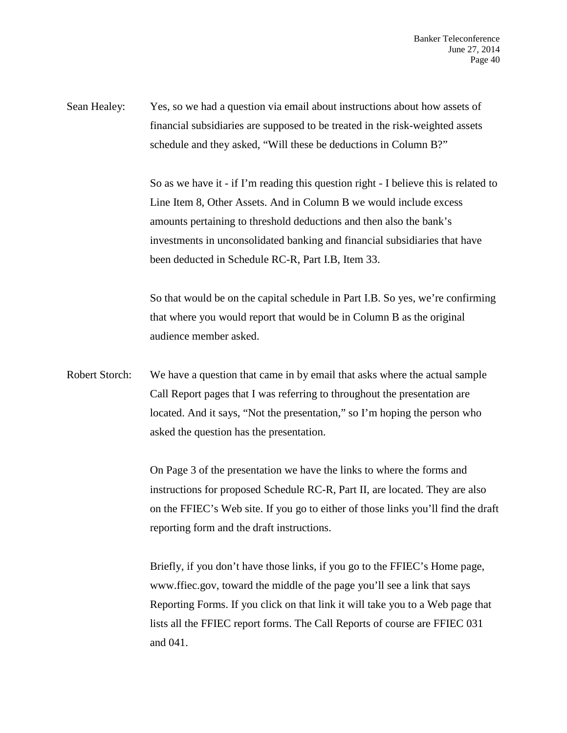Sean Healey: Yes, so we had a question via email about instructions about how assets of financial subsidiaries are supposed to be treated in the risk-weighted assets schedule and they asked, "Will these be deductions in Column B?"

> So as we have it - if I'm reading this question right - I believe this is related to Line Item 8, Other Assets. And in Column B we would include excess amounts pertaining to threshold deductions and then also the bank's investments in unconsolidated banking and financial subsidiaries that have been deducted in Schedule RC-R, Part I.B, Item 33.

> So that would be on the capital schedule in Part I.B. So yes, we're confirming that where you would report that would be in Column B as the original audience member asked.

Robert Storch: We have a question that came in by email that asks where the actual sample Call Report pages that I was referring to throughout the presentation are located. And it says, "Not the presentation," so I'm hoping the person who asked the question has the presentation.

> On Page 3 of the presentation we have the links to where the forms and instructions for proposed Schedule RC-R, Part II, are located. They are also on the FFIEC's Web site. If you go to either of those links you'll find the draft reporting form and the draft instructions.

Briefly, if you don't have those links, if you go to the FFIEC's Home page, www.ffiec.gov, toward the middle of the page you'll see a link that says Reporting Forms. If you click on that link it will take you to a Web page that lists all the FFIEC report forms. The Call Reports of course are FFIEC 031 and 041.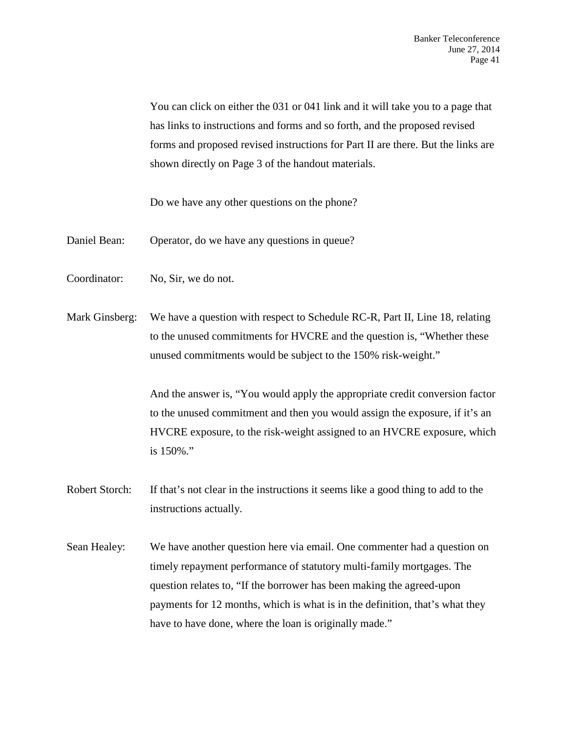You can click on either the 031 or 041 link and it will take you to a page that has links to instructions and forms and so forth, and the proposed revised forms and proposed revised instructions for Part II are there. But the links are shown directly on Page 3 of the handout materials.

Do we have any other questions on the phone?

- Daniel Bean: Operator, do we have any questions in queue?
- Coordinator: No, Sir, we do not.
- Mark Ginsberg: We have a question with respect to Schedule RC-R, Part II, Line 18, relating to the unused commitments for HVCRE and the question is, "Whether these unused commitments would be subject to the 150% risk-weight."

And the answer is, "You would apply the appropriate credit conversion factor to the unused commitment and then you would assign the exposure, if it's an HVCRE exposure, to the risk-weight assigned to an HVCRE exposure, which is 150%."

- Robert Storch: If that's not clear in the instructions it seems like a good thing to add to the instructions actually.
- Sean Healey: We have another question here via email. One commenter had a question on timely repayment performance of statutory multi-family mortgages. The question relates to, "If the borrower has been making the agreed-upon payments for 12 months, which is what is in the definition, that's what they have to have done, where the loan is originally made."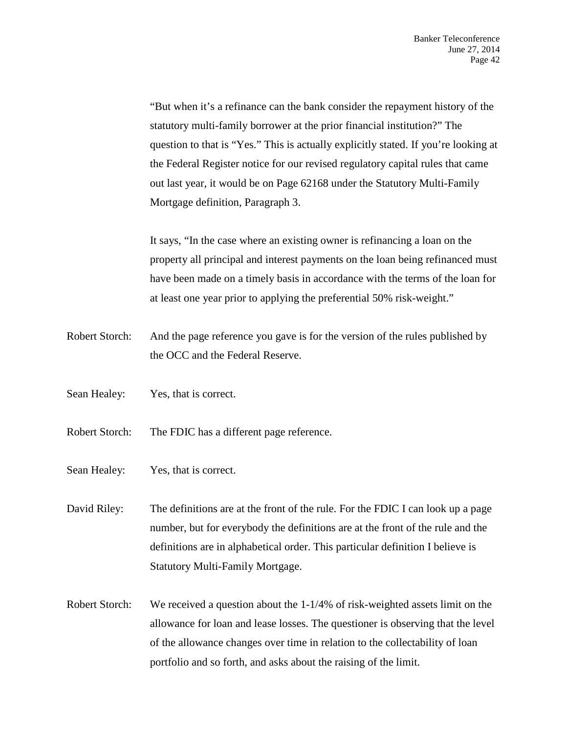"But when it's a refinance can the bank consider the repayment history of the statutory multi-family borrower at the prior financial institution?" The question to that is "Yes." This is actually explicitly stated. If you're looking at the Federal Register notice for our revised regulatory capital rules that came out last year, it would be on Page 62168 under the Statutory Multi-Family Mortgage definition, Paragraph 3.

It says, "In the case where an existing owner is refinancing a loan on the property all principal and interest payments on the loan being refinanced must have been made on a timely basis in accordance with the terms of the loan for at least one year prior to applying the preferential 50% risk-weight."

- Robert Storch: And the page reference you gave is for the version of the rules published by the OCC and the Federal Reserve.
- Sean Healey: Yes, that is correct.
- Robert Storch: The FDIC has a different page reference.
- Sean Healey: Yes, that is correct.

David Riley: The definitions are at the front of the rule. For the FDIC I can look up a page number, but for everybody the definitions are at the front of the rule and the definitions are in alphabetical order. This particular definition I believe is Statutory Multi-Family Mortgage.

Robert Storch: We received a question about the 1-1/4% of risk-weighted assets limit on the allowance for loan and lease losses. The questioner is observing that the level of the allowance changes over time in relation to the collectability of loan portfolio and so forth, and asks about the raising of the limit.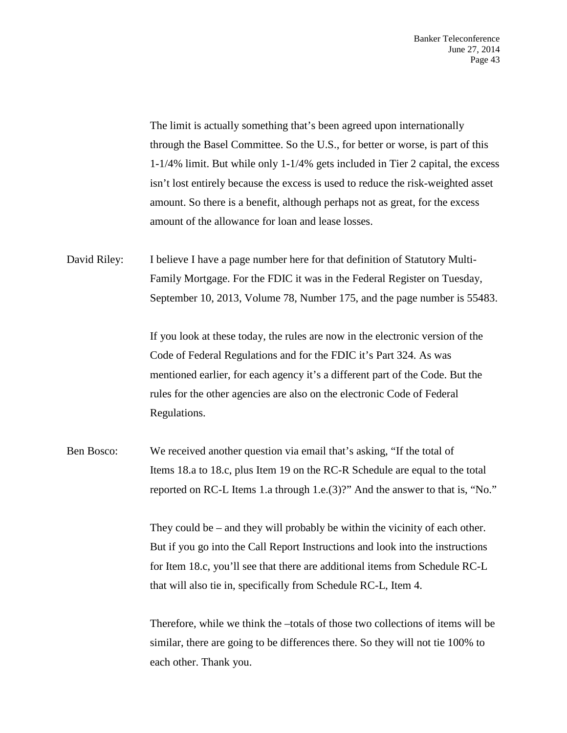The limit is actually something that's been agreed upon internationally through the Basel Committee. So the U.S., for better or worse, is part of this 1-1/4% limit. But while only 1-1/4% gets included in Tier 2 capital, the excess isn't lost entirely because the excess is used to reduce the risk-weighted asset amount. So there is a benefit, although perhaps not as great, for the excess amount of the allowance for loan and lease losses.

David Riley: I believe I have a page number here for that definition of Statutory Multi-Family Mortgage. For the FDIC it was in the Federal Register on Tuesday, September 10, 2013, Volume 78, Number 175, and the page number is 55483.

> If you look at these today, the rules are now in the electronic version of the Code of Federal Regulations and for the FDIC it's Part 324. As was mentioned earlier, for each agency it's a different part of the Code. But the rules for the other agencies are also on the electronic Code of Federal Regulations.

Ben Bosco: We received another question via email that's asking, "If the total of Items 18.a to 18.c, plus Item 19 on the RC-R Schedule are equal to the total reported on RC-L Items 1.a through 1.e.(3)?" And the answer to that is, "No."

> They could be – and they will probably be within the vicinity of each other. But if you go into the Call Report Instructions and look into the instructions for Item 18.c, you'll see that there are additional items from Schedule RC-L that will also tie in, specifically from Schedule RC-L, Item 4.

Therefore, while we think the –totals of those two collections of items will be similar, there are going to be differences there. So they will not tie 100% to each other. Thank you.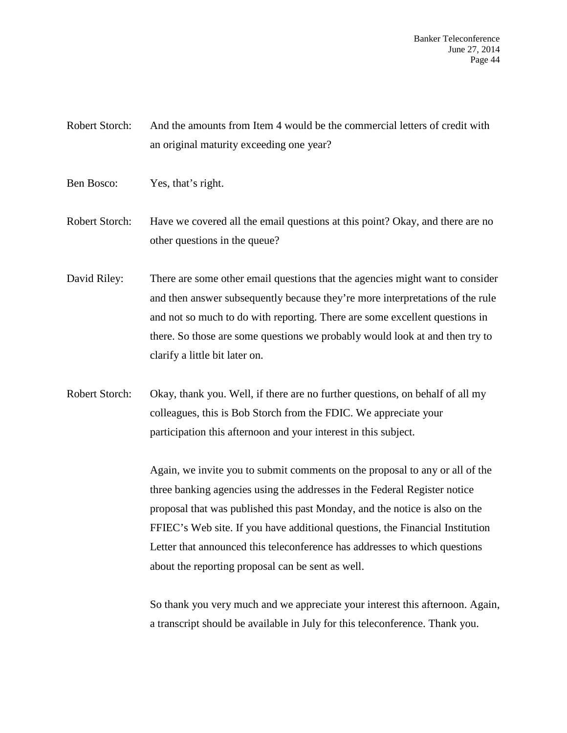Banker Teleconference June 27, 2014 Page 44

Robert Storch: And the amounts from Item 4 would be the commercial letters of credit with an original maturity exceeding one year?

Ben Bosco: Yes, that's right.

Robert Storch: Have we covered all the email questions at this point? Okay, and there are no other questions in the queue?

David Riley: There are some other email questions that the agencies might want to consider and then answer subsequently because they're more interpretations of the rule and not so much to do with reporting. There are some excellent questions in there. So those are some questions we probably would look at and then try to clarify a little bit later on.

Robert Storch: Okay, thank you. Well, if there are no further questions, on behalf of all my colleagues, this is Bob Storch from the FDIC. We appreciate your participation this afternoon and your interest in this subject.

> Again, we invite you to submit comments on the proposal to any or all of the three banking agencies using the addresses in the Federal Register notice proposal that was published this past Monday, and the notice is also on the FFIEC's Web site. If you have additional questions, the Financial Institution Letter that announced this teleconference has addresses to which questions about the reporting proposal can be sent as well.

So thank you very much and we appreciate your interest this afternoon. Again, a transcript should be available in July for this teleconference. Thank you.